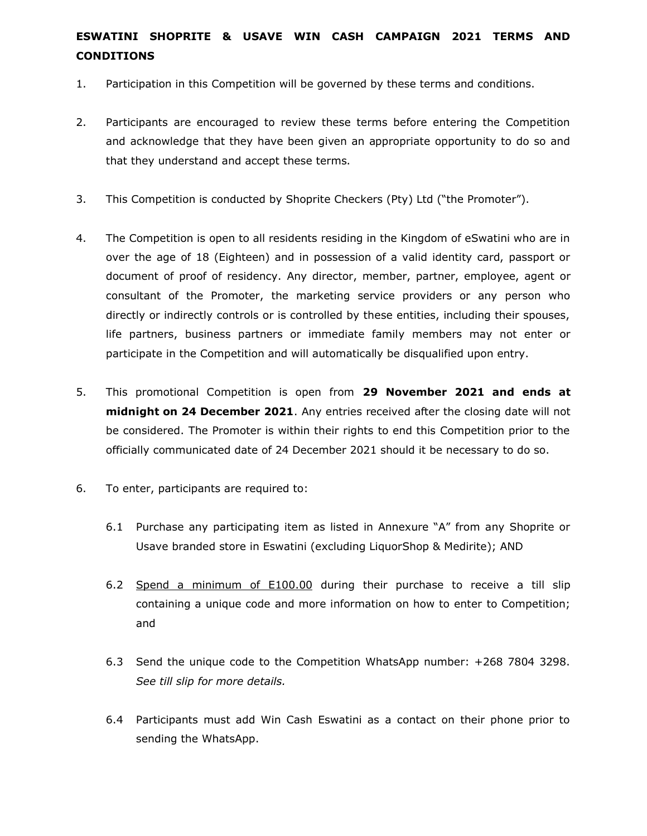## **ESWATINI SHOPRITE & USAVE WIN CASH CAMPAIGN 2021 TERMS AND CONDITIONS**

- 1. Participation in this Competition will be governed by these terms and conditions.
- 2. Participants are encouraged to review these terms before entering the Competition and acknowledge that they have been given an appropriate opportunity to do so and that they understand and accept these terms.
- 3. This Competition is conducted by Shoprite Checkers (Pty) Ltd ("the Promoter").
- 4. The Competition is open to all residents residing in the Kingdom of eSwatini who are in over the age of 18 (Eighteen) and in possession of a valid identity card, passport or document of proof of residency. Any director, member, partner, employee, agent or consultant of the Promoter, the marketing service providers or any person who directly or indirectly controls or is controlled by these entities, including their spouses, life partners, business partners or immediate family members may not enter or participate in the Competition and will automatically be disqualified upon entry.
- 5. This promotional Competition is open from **29 November 2021 and ends at midnight on 24 December 2021**. Any entries received after the closing date will not be considered. The Promoter is within their rights to end this Competition prior to the officially communicated date of 24 December 2021 should it be necessary to do so.
- 6. To enter, participants are required to:
	- 6.1 Purchase any participating item as listed in Annexure "A" from any Shoprite or Usave branded store in Eswatini (excluding LiquorShop & Medirite); AND
	- 6.2 Spend a minimum of E100.00 during their purchase to receive a till slip containing a unique code and more information on how to enter to Competition; and
	- 6.3 Send the unique code to the Competition WhatsApp number: +268 7804 3298. *See till slip for more details.*
	- 6.4 Participants must add Win Cash Eswatini as a contact on their phone prior to sending the WhatsApp.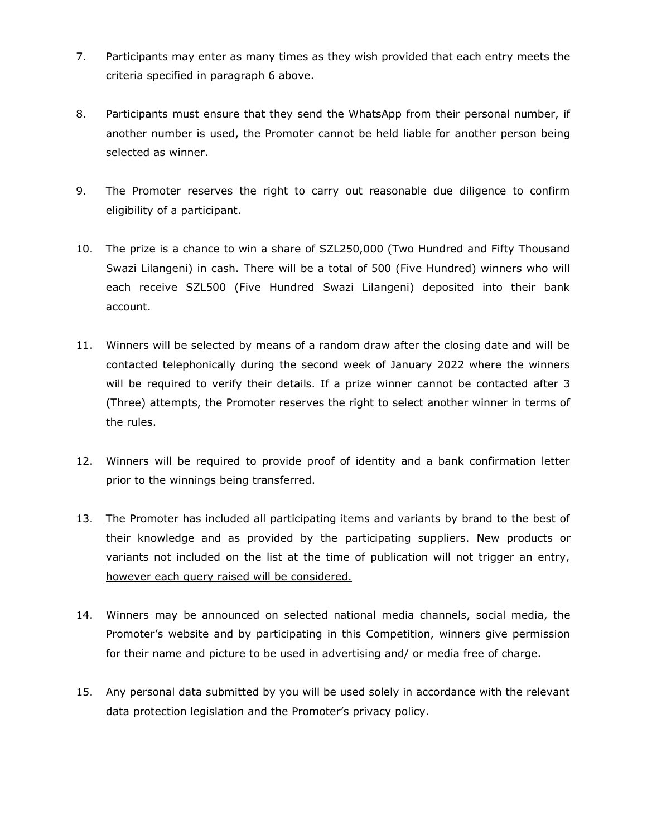- 7. Participants may enter as many times as they wish provided that each entry meets the criteria specified in paragraph 6 above.
- 8. Participants must ensure that they send the WhatsApp from their personal number, if another number is used, the Promoter cannot be held liable for another person being selected as winner.
- 9. The Promoter reserves the right to carry out reasonable due diligence to confirm eligibility of a participant.
- 10. The prize is a chance to win a share of SZL250,000 (Two Hundred and Fifty Thousand Swazi Lilangeni) in cash. There will be a total of 500 (Five Hundred) winners who will each receive SZL500 (Five Hundred Swazi Lilangeni) deposited into their bank account.
- 11. Winners will be selected by means of a random draw after the closing date and will be contacted telephonically during the second week of January 2022 where the winners will be required to verify their details. If a prize winner cannot be contacted after 3 (Three) attempts, the Promoter reserves the right to select another winner in terms of the rules.
- 12. Winners will be required to provide proof of identity and a bank confirmation letter prior to the winnings being transferred.
- 13. The Promoter has included all participating items and variants by brand to the best of their knowledge and as provided by the participating suppliers. New products or variants not included on the list at the time of publication will not trigger an entry, however each query raised will be considered.
- 14. Winners may be announced on selected national media channels, social media, the Promoter's website and by participating in this Competition, winners give permission for their name and picture to be used in advertising and/ or media free of charge.
- 15. Any personal data submitted by you will be used solely in accordance with the relevant data protection legislation and the Promoter's privacy policy.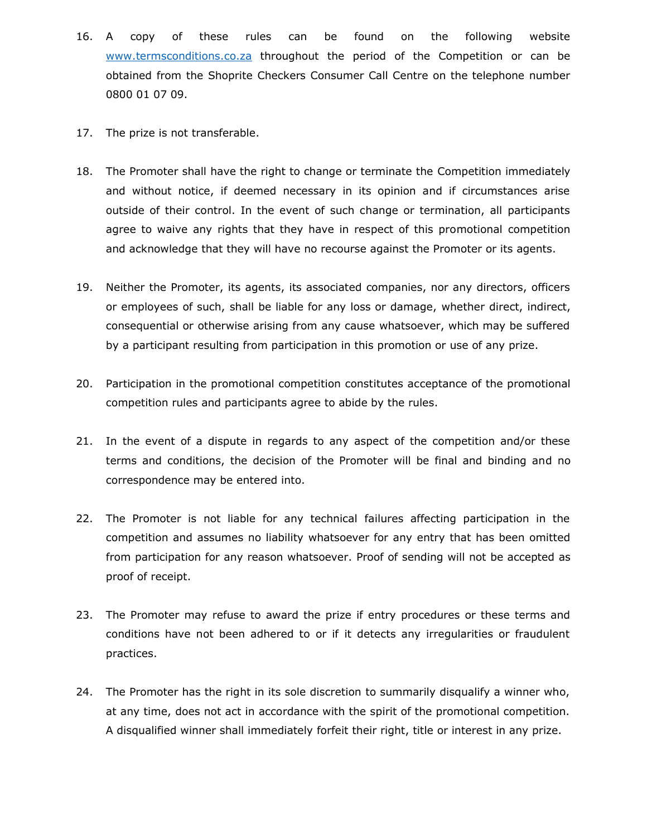- 16. A copy of these rules can be found on the following website www.termsconditions.co.za throughout the period of the Competition or can be obtained from the Shoprite Checkers Consumer Call Centre on the telephone number 0800 01 07 09.
- 17. The prize is not transferable.
- 18. The Promoter shall have the right to change or terminate the Competition immediately and without notice, if deemed necessary in its opinion and if circumstances arise outside of their control. In the event of such change or termination, all participants agree to waive any rights that they have in respect of this promotional competition and acknowledge that they will have no recourse against the Promoter or its agents.
- 19. Neither the Promoter, its agents, its associated companies, nor any directors, officers or employees of such, shall be liable for any loss or damage, whether direct, indirect, consequential or otherwise arising from any cause whatsoever, which may be suffered by a participant resulting from participation in this promotion or use of any prize.
- 20. Participation in the promotional competition constitutes acceptance of the promotional competition rules and participants agree to abide by the rules.
- 21. In the event of a dispute in regards to any aspect of the competition and/or these terms and conditions, the decision of the Promoter will be final and binding and no correspondence may be entered into.
- 22. The Promoter is not liable for any technical failures affecting participation in the competition and assumes no liability whatsoever for any entry that has been omitted from participation for any reason whatsoever. Proof of sending will not be accepted as proof of receipt.
- 23. The Promoter may refuse to award the prize if entry procedures or these terms and conditions have not been adhered to or if it detects any irregularities or fraudulent practices.
- 24. The Promoter has the right in its sole discretion to summarily disqualify a winner who, at any time, does not act in accordance with the spirit of the promotional competition. A disqualified winner shall immediately forfeit their right, title or interest in any prize.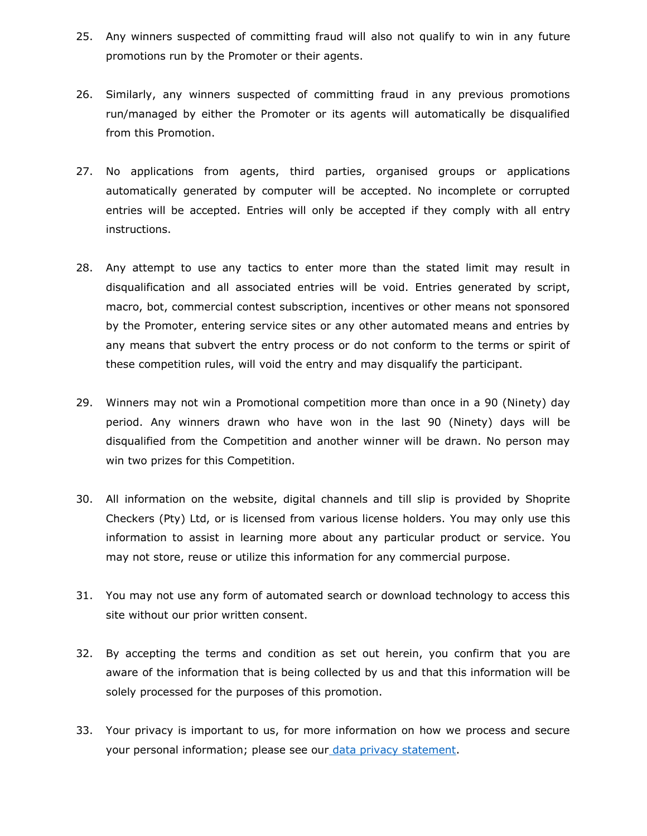- 25. Any winners suspected of committing fraud will also not qualify to win in any future promotions run by the Promoter or their agents.
- 26. Similarly, any winners suspected of committing fraud in any previous promotions run/managed by either the Promoter or its agents will automatically be disqualified from this Promotion.
- 27. No applications from agents, third parties, organised groups or applications automatically generated by computer will be accepted. No incomplete or corrupted entries will be accepted. Entries will only be accepted if they comply with all entry instructions.
- 28. Any attempt to use any tactics to enter more than the stated limit may result in disqualification and all associated entries will be void. Entries generated by script, macro, bot, commercial contest subscription, incentives or other means not sponsored by the Promoter, entering service sites or any other automated means and entries by any means that subvert the entry process or do not conform to the terms or spirit of these competition rules, will void the entry and may disqualify the participant.
- 29. Winners may not win a Promotional competition more than once in a 90 (Ninety) day period. Any winners drawn who have won in the last 90 (Ninety) days will be disqualified from the Competition and another winner will be drawn. No person may win two prizes for this Competition.
- 30. All information on the website, digital channels and till slip is provided by Shoprite Checkers (Pty) Ltd, or is licensed from various license holders. You may only use this information to assist in learning more about any particular product or service. You may not store, reuse or utilize this information for any commercial purpose.
- 31. You may not use any form of automated search or download technology to access this site without our prior written consent.
- 32. By accepting the terms and condition as set out herein, you confirm that you are aware of the information that is being collected by us and that this information will be solely processed for the purposes of this promotion.
- 33. Your privacy is important to us, for more information on how we process and secure your personal information; please see ou[r](https://www.checkers.co.za/privacyPolicy) [data privacy statement.](https://www.termsconditions.co.za/content/TermsConditions/en/privacy-policies.html)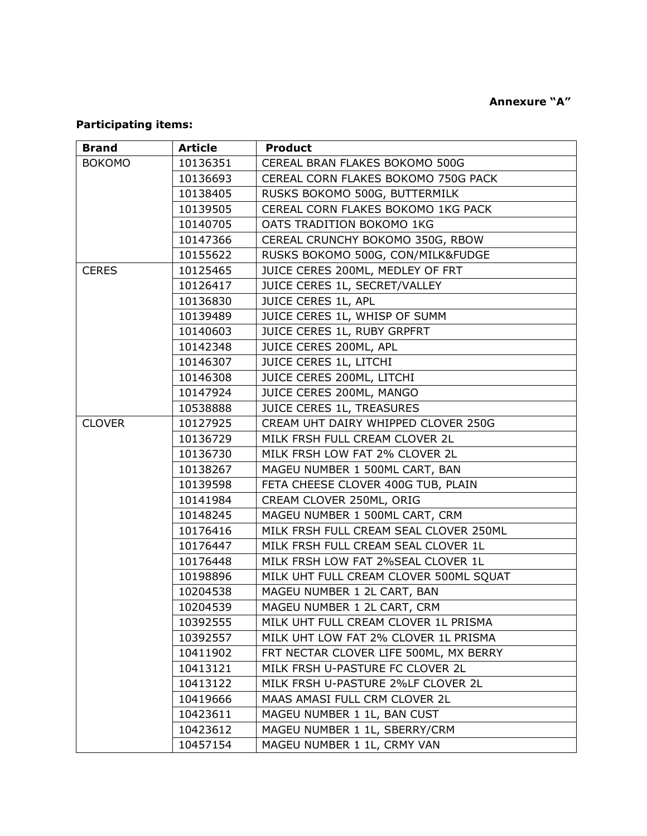## **Annexure "A"**

## **Participating items:**

| <b>Brand</b>  | <b>Article</b> | <b>Product</b>                         |
|---------------|----------------|----------------------------------------|
| <b>BOKOMO</b> | 10136351       | CEREAL BRAN FLAKES BOKOMO 500G         |
|               | 10136693       | CEREAL CORN FLAKES BOKOMO 750G PACK    |
|               | 10138405       | RUSKS BOKOMO 500G, BUTTERMILK          |
|               | 10139505       | CEREAL CORN FLAKES BOKOMO 1KG PACK     |
|               | 10140705       | OATS TRADITION BOKOMO 1KG              |
|               | 10147366       | CEREAL CRUNCHY BOKOMO 350G, RBOW       |
|               | 10155622       | RUSKS BOKOMO 500G, CON/MILK&FUDGE      |
| <b>CERES</b>  | 10125465       | JUICE CERES 200ML, MEDLEY OF FRT       |
|               | 10126417       | JUICE CERES 1L, SECRET/VALLEY          |
|               | 10136830       | JUICE CERES 1L, APL                    |
|               | 10139489       | JUICE CERES 1L, WHISP OF SUMM          |
|               | 10140603       | JUICE CERES 1L, RUBY GRPFRT            |
|               | 10142348       | JUICE CERES 200ML, APL                 |
|               | 10146307       | JUICE CERES 1L, LITCHI                 |
|               | 10146308       | JUICE CERES 200ML, LITCHI              |
|               | 10147924       | JUICE CERES 200ML, MANGO               |
|               | 10538888       | JUICE CERES 1L, TREASURES              |
| <b>CLOVER</b> | 10127925       | CREAM UHT DAIRY WHIPPED CLOVER 250G    |
|               | 10136729       | MILK FRSH FULL CREAM CLOVER 2L         |
|               | 10136730       | MILK FRSH LOW FAT 2% CLOVER 2L         |
|               | 10138267       | MAGEU NUMBER 1 500ML CART, BAN         |
|               | 10139598       | FETA CHEESE CLOVER 400G TUB, PLAIN     |
|               | 10141984       | CREAM CLOVER 250ML, ORIG               |
|               | 10148245       | MAGEU NUMBER 1 500ML CART, CRM         |
|               | 10176416       | MILK FRSH FULL CREAM SEAL CLOVER 250ML |
|               | 10176447       | MILK FRSH FULL CREAM SEAL CLOVER 1L    |
|               | 10176448       | MILK FRSH LOW FAT 2%SEAL CLOVER 1L     |
|               | 10198896       | MILK UHT FULL CREAM CLOVER 500ML SQUAT |
|               | 10204538       | MAGEU NUMBER 1 2L CART, BAN            |
|               | 10204539       | MAGEU NUMBER 1 2L CART, CRM            |
|               | 10392555       | MILK UHT FULL CREAM CLOVER 1L PRISMA   |
|               | 10392557       | MILK UHT LOW FAT 2% CLOVER 1L PRISMA   |
|               | 10411902       | FRT NECTAR CLOVER LIFE 500ML, MX BERRY |
|               | 10413121       | MILK FRSH U-PASTURE FC CLOVER 2L       |
|               | 10413122       | MILK FRSH U-PASTURE 2%LF CLOVER 2L     |
|               | 10419666       | MAAS AMASI FULL CRM CLOVER 2L          |
|               | 10423611       | MAGEU NUMBER 1 1L, BAN CUST            |
|               | 10423612       | MAGEU NUMBER 1 1L, SBERRY/CRM          |
|               | 10457154       | MAGEU NUMBER 1 1L, CRMY VAN            |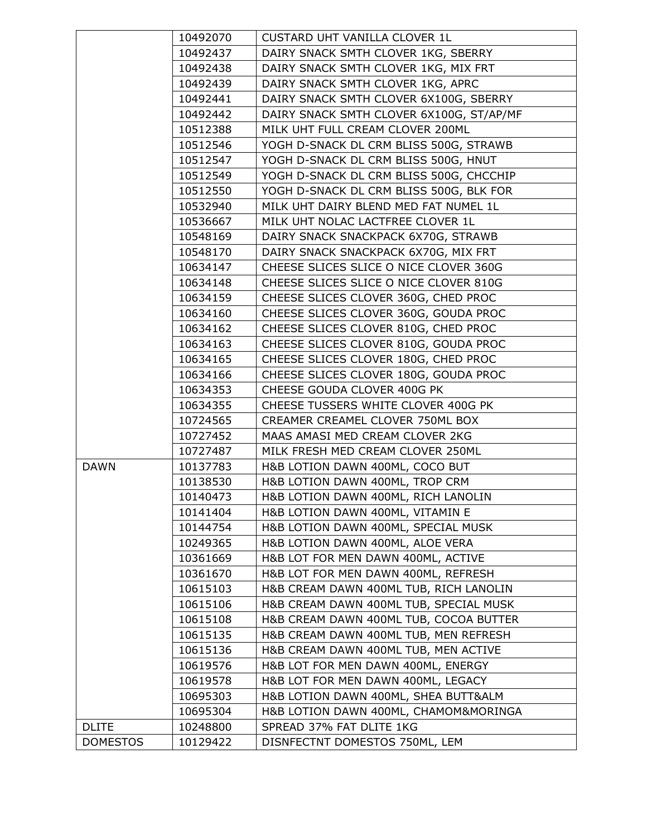|                 | 10492070             | CUSTARD UHT VANILLA CLOVER 1L                                           |
|-----------------|----------------------|-------------------------------------------------------------------------|
|                 | 10492437             | DAIRY SNACK SMTH CLOVER 1KG, SBERRY                                     |
|                 | 10492438             | DAIRY SNACK SMTH CLOVER 1KG, MIX FRT                                    |
|                 | 10492439             | DAIRY SNACK SMTH CLOVER 1KG, APRC                                       |
|                 | 10492441             | DAIRY SNACK SMTH CLOVER 6X100G, SBERRY                                  |
|                 | 10492442             | DAIRY SNACK SMTH CLOVER 6X100G, ST/AP/MF                                |
|                 | 10512388             | MILK UHT FULL CREAM CLOVER 200ML                                        |
|                 | 10512546             | YOGH D-SNACK DL CRM BLISS 500G, STRAWB                                  |
|                 | 10512547             | YOGH D-SNACK DL CRM BLISS 500G, HNUT                                    |
|                 | 10512549             | YOGH D-SNACK DL CRM BLISS 500G, CHCCHIP                                 |
|                 | 10512550             | YOGH D-SNACK DL CRM BLISS 500G, BLK FOR                                 |
|                 | 10532940             | MILK UHT DAIRY BLEND MED FAT NUMEL 1L                                   |
|                 | 10536667             | MILK UHT NOLAC LACTFREE CLOVER 1L                                       |
|                 | 10548169             | DAIRY SNACK SNACKPACK 6X70G, STRAWB                                     |
|                 | 10548170             | DAIRY SNACK SNACKPACK 6X70G, MIX FRT                                    |
|                 | 10634147             | CHEESE SLICES SLICE O NICE CLOVER 360G                                  |
|                 | 10634148             | CHEESE SLICES SLICE O NICE CLOVER 810G                                  |
|                 | 10634159             | CHEESE SLICES CLOVER 360G, CHED PROC                                    |
|                 | 10634160             | CHEESE SLICES CLOVER 360G, GOUDA PROC                                   |
|                 | 10634162             | CHEESE SLICES CLOVER 810G, CHED PROC                                    |
|                 | 10634163             | CHEESE SLICES CLOVER 810G, GOUDA PROC                                   |
|                 | 10634165             | CHEESE SLICES CLOVER 180G, CHED PROC                                    |
|                 | 10634166             | CHEESE SLICES CLOVER 180G, GOUDA PROC                                   |
|                 | 10634353             | CHEESE GOUDA CLOVER 400G PK                                             |
|                 | 10634355             | CHEESE TUSSERS WHITE CLOVER 400G PK                                     |
|                 | 10724565             | CREAMER CREAMEL CLOVER 750ML BOX                                        |
|                 | 10727452             | MAAS AMASI MED CREAM CLOVER 2KG                                         |
|                 | 10727487             | MILK FRESH MED CREAM CLOVER 250ML                                       |
| <b>DAWN</b>     | 10137783             | H&B LOTION DAWN 400ML, COCO BUT                                         |
|                 | 10138530<br>10140473 | H&B LOTION DAWN 400ML, TROP CRM                                         |
|                 | 10141404             | H&B LOTION DAWN 400ML, RICH LANOLIN<br>H&B LOTION DAWN 400ML, VITAMIN E |
|                 | 10144754             | H&B LOTION DAWN 400ML, SPECIAL MUSK                                     |
|                 | 10249365             | H&B LOTION DAWN 400ML, ALOE VERA                                        |
|                 | 10361669             | H&B LOT FOR MEN DAWN 400ML, ACTIVE                                      |
|                 | 10361670             | H&B LOT FOR MEN DAWN 400ML, REFRESH                                     |
|                 | 10615103             | H&B CREAM DAWN 400ML TUB, RICH LANOLIN                                  |
|                 | 10615106             | H&B CREAM DAWN 400ML TUB, SPECIAL MUSK                                  |
|                 | 10615108             | H&B CREAM DAWN 400ML TUB, COCOA BUTTER                                  |
|                 | 10615135             | H&B CREAM DAWN 400ML TUB, MEN REFRESH                                   |
|                 | 10615136             | H&B CREAM DAWN 400ML TUB, MEN ACTIVE                                    |
|                 | 10619576             | H&B LOT FOR MEN DAWN 400ML, ENERGY                                      |
|                 | 10619578             | H&B LOT FOR MEN DAWN 400ML, LEGACY                                      |
|                 | 10695303             | H&B LOTION DAWN 400ML, SHEA BUTT&ALM                                    |
|                 | 10695304             | H&B LOTION DAWN 400ML, CHAMOM&MORINGA                                   |
| <b>DLITE</b>    | 10248800             | SPREAD 37% FAT DLITE 1KG                                                |
| <b>DOMESTOS</b> | 10129422             | DISNFECTNT DOMESTOS 750ML, LEM                                          |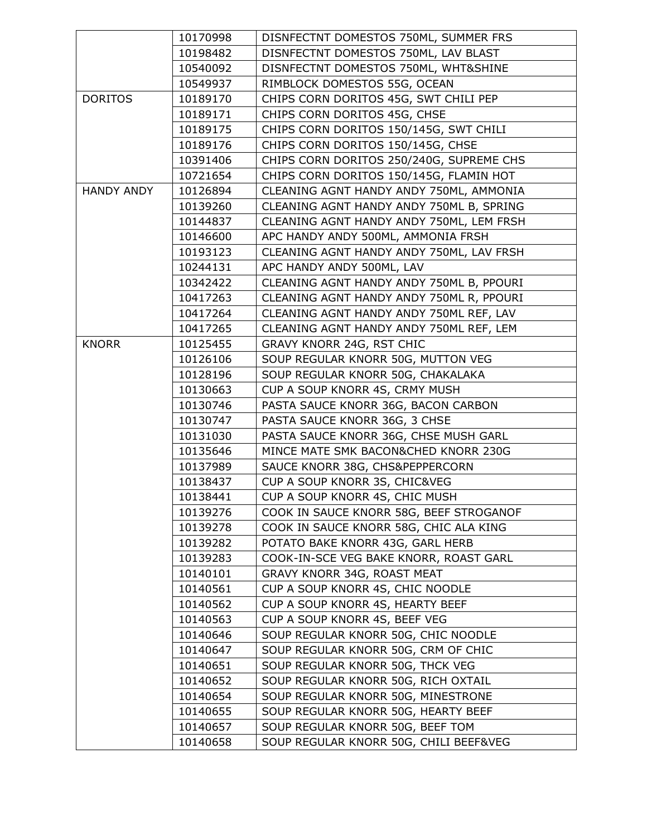|                   | 10170998 | DISNFECTNT DOMESTOS 750ML, SUMMER FRS    |
|-------------------|----------|------------------------------------------|
|                   | 10198482 | DISNFECTNT DOMESTOS 750ML, LAV BLAST     |
|                   | 10540092 | DISNFECTNT DOMESTOS 750ML, WHT&SHINE     |
|                   | 10549937 | RIMBLOCK DOMESTOS 55G, OCEAN             |
| <b>DORITOS</b>    | 10189170 | CHIPS CORN DORITOS 45G, SWT CHILI PEP    |
|                   | 10189171 | CHIPS CORN DORITOS 45G, CHSE             |
|                   | 10189175 | CHIPS CORN DORITOS 150/145G, SWT CHILI   |
|                   | 10189176 | CHIPS CORN DORITOS 150/145G, CHSE        |
|                   | 10391406 | CHIPS CORN DORITOS 250/240G, SUPREME CHS |
|                   | 10721654 | CHIPS CORN DORITOS 150/145G, FLAMIN HOT  |
| <b>HANDY ANDY</b> | 10126894 | CLEANING AGNT HANDY ANDY 750ML, AMMONIA  |
|                   | 10139260 | CLEANING AGNT HANDY ANDY 750ML B, SPRING |
|                   | 10144837 | CLEANING AGNT HANDY ANDY 750ML, LEM FRSH |
|                   | 10146600 | APC HANDY ANDY 500ML, AMMONIA FRSH       |
|                   | 10193123 | CLEANING AGNT HANDY ANDY 750ML, LAV FRSH |
|                   | 10244131 | APC HANDY ANDY 500ML, LAV                |
|                   | 10342422 | CLEANING AGNT HANDY ANDY 750ML B, PPOURI |
|                   | 10417263 | CLEANING AGNT HANDY ANDY 750ML R, PPOURI |
|                   | 10417264 | CLEANING AGNT HANDY ANDY 750ML REF, LAV  |
|                   | 10417265 | CLEANING AGNT HANDY ANDY 750ML REF, LEM  |
| <b>KNORR</b>      | 10125455 | GRAVY KNORR 24G, RST CHIC                |
|                   | 10126106 | SOUP REGULAR KNORR 50G, MUTTON VEG       |
|                   | 10128196 | SOUP REGULAR KNORR 50G, CHAKALAKA        |
|                   | 10130663 | CUP A SOUP KNORR 4S, CRMY MUSH           |
|                   | 10130746 | PASTA SAUCE KNORR 36G, BACON CARBON      |
|                   | 10130747 | PASTA SAUCE KNORR 36G, 3 CHSE            |
|                   | 10131030 | PASTA SAUCE KNORR 36G, CHSE MUSH GARL    |
|                   | 10135646 | MINCE MATE SMK BACON&CHED KNORR 230G     |
|                   | 10137989 | SAUCE KNORR 38G, CHS&PEPPERCORN          |
|                   | 10138437 | CUP A SOUP KNORR 3S, CHIC&VEG            |
|                   | 10138441 | CUP A SOUP KNORR 4S, CHIC MUSH           |
|                   | 10139276 | COOK IN SAUCE KNORR 58G, BEEF STROGANOF  |
|                   | 10139278 | COOK IN SAUCE KNORR 58G, CHIC ALA KING   |
|                   | 10139282 | POTATO BAKE KNORR 43G, GARL HERB         |
|                   | 10139283 | COOK-IN-SCE VEG BAKE KNORR, ROAST GARL   |
|                   | 10140101 | GRAVY KNORR 34G, ROAST MEAT              |
|                   | 10140561 | CUP A SOUP KNORR 4S, CHIC NOODLE         |
|                   | 10140562 | CUP A SOUP KNORR 4S, HEARTY BEEF         |
|                   | 10140563 | CUP A SOUP KNORR 4S, BEEF VEG            |
|                   | 10140646 | SOUP REGULAR KNORR 50G, CHIC NOODLE      |
|                   | 10140647 | SOUP REGULAR KNORR 50G, CRM OF CHIC      |
|                   | 10140651 | SOUP REGULAR KNORR 50G, THCK VEG         |
|                   | 10140652 | SOUP REGULAR KNORR 50G, RICH OXTAIL      |
|                   | 10140654 | SOUP REGULAR KNORR 50G, MINESTRONE       |
|                   | 10140655 | SOUP REGULAR KNORR 50G, HEARTY BEEF      |
|                   | 10140657 | SOUP REGULAR KNORR 50G, BEEF TOM         |
|                   | 10140658 | SOUP REGULAR KNORR 50G, CHILI BEEF&VEG   |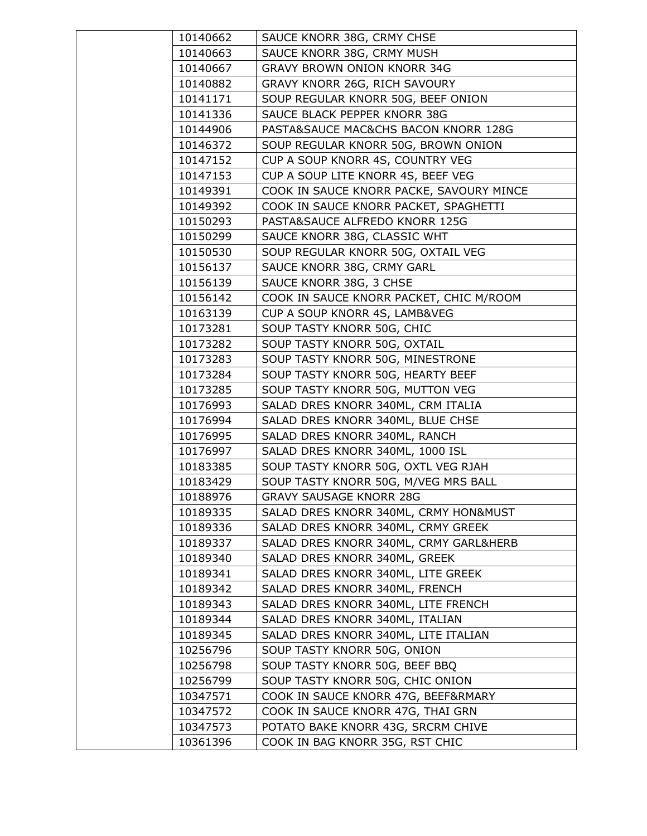| 10140662             | SAUCE KNORR 38G, CRMY CHSE                                    |
|----------------------|---------------------------------------------------------------|
| 10140663             | SAUCE KNORR 38G, CRMY MUSH                                    |
| 10140667             | <b>GRAVY BROWN ONION KNORR 34G</b>                            |
| 10140882             | GRAVY KNORR 26G, RICH SAVOURY                                 |
| 10141171             | SOUP REGULAR KNORR 50G, BEEF ONION                            |
| 10141336             | SAUCE BLACK PEPPER KNORR 38G                                  |
| 10144906             | PASTA&SAUCE MAC&CHS BACON KNORR 128G                          |
| 10146372             | SOUP REGULAR KNORR 50G, BROWN ONION                           |
| 10147152             | CUP A SOUP KNORR 4S, COUNTRY VEG                              |
| 10147153             | CUP A SOUP LITE KNORR 4S, BEEF VEG                            |
| 10149391             | COOK IN SAUCE KNORR PACKE, SAVOURY MINCE                      |
| 10149392             | COOK IN SAUCE KNORR PACKET, SPAGHETTI                         |
| 10150293             | PASTA&SAUCE ALFREDO KNORR 125G                                |
| 10150299             | SAUCE KNORR 38G, CLASSIC WHT                                  |
| 10150530             | SOUP REGULAR KNORR 50G, OXTAIL VEG                            |
| 10156137             | SAUCE KNORR 38G, CRMY GARL                                    |
| 10156139             | SAUCE KNORR 38G, 3 CHSE                                       |
| 10156142             | COOK IN SAUCE KNORR PACKET, CHIC M/ROOM                       |
| 10163139             | CUP A SOUP KNORR 4S, LAMB&VEG                                 |
| 10173281             | SOUP TASTY KNORR 50G, CHIC                                    |
| 10173282             | SOUP TASTY KNORR 50G, OXTAIL                                  |
| 10173283             | SOUP TASTY KNORR 50G, MINESTRONE                              |
| 10173284             | SOUP TASTY KNORR 50G, HEARTY BEEF                             |
| 10173285             | SOUP TASTY KNORR 50G, MUTTON VEG                              |
| 10176993             | SALAD DRES KNORR 340ML, CRM ITALIA                            |
| 10176994             | SALAD DRES KNORR 340ML, BLUE CHSE                             |
| 10176995             | SALAD DRES KNORR 340ML, RANCH                                 |
| 10176997             | SALAD DRES KNORR 340ML, 1000 ISL                              |
| 10183385             | SOUP TASTY KNORR 50G, OXTL VEG RJAH                           |
| 10183429             | SOUP TASTY KNORR 50G, M/VEG MRS BALL                          |
| 10188976             | <b>GRAVY SAUSAGE KNORR 28G</b>                                |
| 10189335             | SALAD DRES KNORR 340ML, CRMY HON&MUST                         |
| 10189336             | SALAD DRES KNORR 340ML, CRMY GREEK                            |
| 10189337             | SALAD DRES KNORR 340ML, CRMY GARL&HERB                        |
| 10189340             | SALAD DRES KNORR 340ML, GREEK                                 |
| 10189341             | SALAD DRES KNORR 340ML, LITE GREEK                            |
| 10189342             | SALAD DRES KNORR 340ML, FRENCH                                |
| 10189343             | SALAD DRES KNORR 340ML, LITE FRENCH                           |
| 10189344             | SALAD DRES KNORR 340ML, ITALIAN                               |
| 10189345             | SALAD DRES KNORR 340ML, LITE ITALIAN                          |
| 10256796<br>10256798 | SOUP TASTY KNORR 50G, ONION<br>SOUP TASTY KNORR 50G, BEEF BBQ |
|                      |                                                               |
| 10256799             | SOUP TASTY KNORR 50G, CHIC ONION                              |
| 10347571             | COOK IN SAUCE KNORR 47G, BEEF&RMARY                           |
| 10347572             | COOK IN SAUCE KNORR 47G, THAI GRN                             |
| 10347573             | POTATO BAKE KNORR 43G, SRCRM CHIVE                            |
| 10361396             | COOK IN BAG KNORR 35G, RST CHIC                               |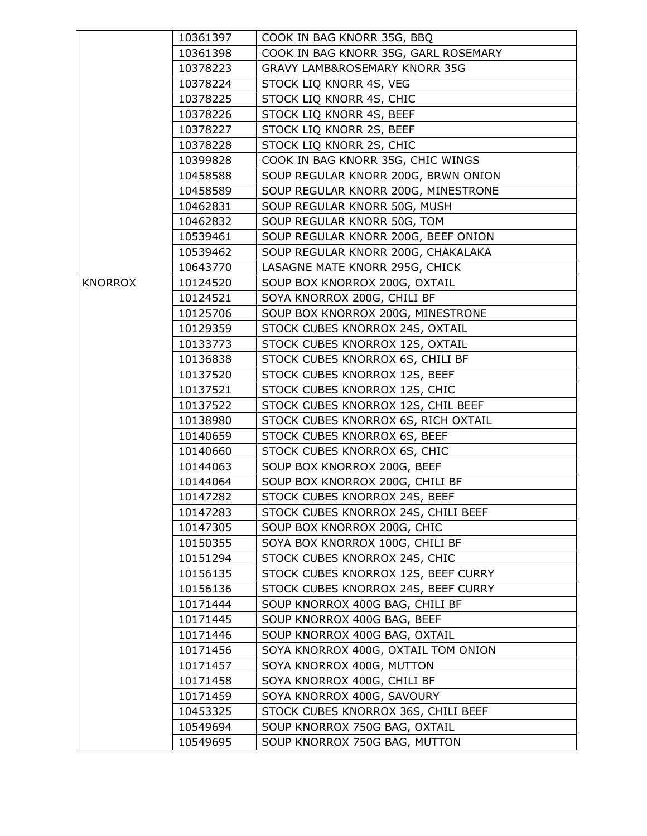|                | 10361397 | COOK IN BAG KNORR 35G, BBQ               |
|----------------|----------|------------------------------------------|
|                | 10361398 | COOK IN BAG KNORR 35G, GARL ROSEMARY     |
|                | 10378223 | <b>GRAVY LAMB&amp;ROSEMARY KNORR 35G</b> |
|                | 10378224 | STOCK LIQ KNORR 4S, VEG                  |
|                | 10378225 | STOCK LIQ KNORR 4S, CHIC                 |
|                | 10378226 | STOCK LIQ KNORR 4S, BEEF                 |
|                | 10378227 | STOCK LIQ KNORR 2S, BEEF                 |
|                | 10378228 | STOCK LIQ KNORR 2S, CHIC                 |
|                | 10399828 | COOK IN BAG KNORR 35G, CHIC WINGS        |
|                | 10458588 | SOUP REGULAR KNORR 200G, BRWN ONION      |
|                | 10458589 | SOUP REGULAR KNORR 200G, MINESTRONE      |
|                | 10462831 | SOUP REGULAR KNORR 50G, MUSH             |
|                | 10462832 | SOUP REGULAR KNORR 50G, TOM              |
|                | 10539461 | SOUP REGULAR KNORR 200G, BEEF ONION      |
|                | 10539462 | SOUP REGULAR KNORR 200G, CHAKALAKA       |
|                | 10643770 | LASAGNE MATE KNORR 295G, CHICK           |
| <b>KNORROX</b> | 10124520 | SOUP BOX KNORROX 200G, OXTAIL            |
|                | 10124521 | SOYA KNORROX 200G, CHILI BF              |
|                | 10125706 | SOUP BOX KNORROX 200G, MINESTRONE        |
|                | 10129359 | STOCK CUBES KNORROX 24S, OXTAIL          |
|                | 10133773 | STOCK CUBES KNORROX 12S, OXTAIL          |
|                | 10136838 | STOCK CUBES KNORROX 6S, CHILI BF         |
|                | 10137520 | STOCK CUBES KNORROX 12S, BEEF            |
|                | 10137521 | STOCK CUBES KNORROX 12S, CHIC            |
|                | 10137522 | STOCK CUBES KNORROX 12S, CHIL BEEF       |
|                | 10138980 | STOCK CUBES KNORROX 6S, RICH OXTAIL      |
|                | 10140659 | STOCK CUBES KNORROX 6S, BEEF             |
|                | 10140660 | STOCK CUBES KNORROX 6S, CHIC             |
|                | 10144063 | SOUP BOX KNORROX 200G, BEEF              |
|                | 10144064 | SOUP BOX KNORROX 200G, CHILI BF          |
|                | 10147282 | STOCK CUBES KNORROX 24S, BEEF            |
|                | 10147283 | STOCK CUBES KNORROX 24S, CHILI BEEF      |
|                | 10147305 | SOUP BOX KNORROX 200G, CHIC              |
|                | 10150355 | SOYA BOX KNORROX 100G, CHILI BF          |
|                | 10151294 | STOCK CUBES KNORROX 24S, CHIC            |
|                | 10156135 | STOCK CUBES KNORROX 12S, BEEF CURRY      |
|                | 10156136 | STOCK CUBES KNORROX 24S, BEEF CURRY      |
|                | 10171444 | SOUP KNORROX 400G BAG, CHILI BF          |
|                | 10171445 | SOUP KNORROX 400G BAG, BEEF              |
|                | 10171446 | SOUP KNORROX 400G BAG, OXTAIL            |
|                | 10171456 | SOYA KNORROX 400G, OXTAIL TOM ONION      |
|                | 10171457 | SOYA KNORROX 400G, MUTTON                |
|                | 10171458 | SOYA KNORROX 400G, CHILI BF              |
|                | 10171459 | SOYA KNORROX 400G, SAVOURY               |
|                | 10453325 | STOCK CUBES KNORROX 36S, CHILI BEEF      |
|                | 10549694 | SOUP KNORROX 750G BAG, OXTAIL            |
|                | 10549695 | SOUP KNORROX 750G BAG, MUTTON            |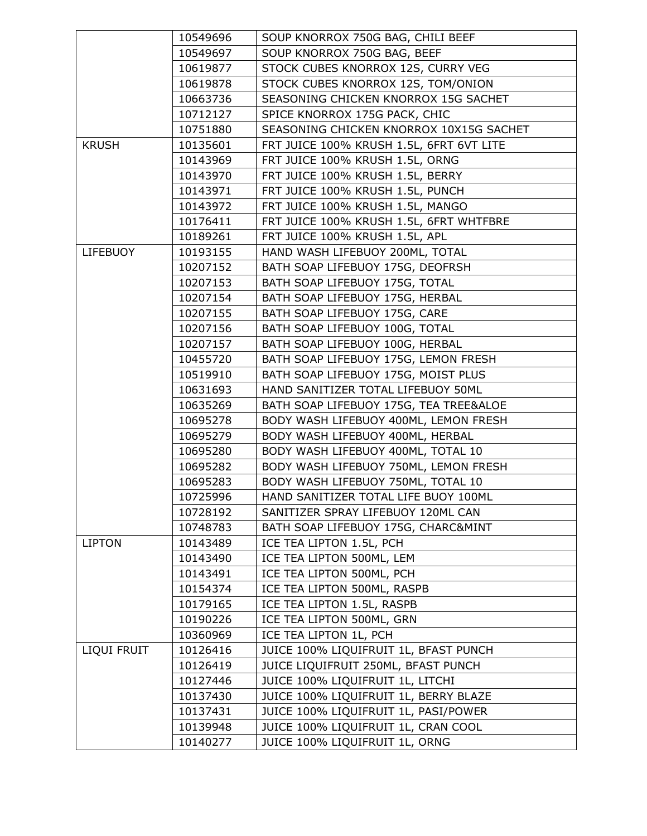|                 | 10549696 | SOUP KNORROX 750G BAG, CHILI BEEF        |
|-----------------|----------|------------------------------------------|
|                 | 10549697 | SOUP KNORROX 750G BAG, BEEF              |
|                 | 10619877 | STOCK CUBES KNORROX 12S, CURRY VEG       |
|                 | 10619878 | STOCK CUBES KNORROX 12S, TOM/ONION       |
|                 | 10663736 | SEASONING CHICKEN KNORROX 15G SACHET     |
|                 | 10712127 | SPICE KNORROX 175G PACK, CHIC            |
|                 | 10751880 | SEASONING CHICKEN KNORROX 10X15G SACHET  |
| <b>KRUSH</b>    | 10135601 | FRT JUICE 100% KRUSH 1.5L, 6FRT 6VT LITE |
|                 | 10143969 | FRT JUICE 100% KRUSH 1.5L, ORNG          |
|                 | 10143970 | FRT JUICE 100% KRUSH 1.5L, BERRY         |
|                 | 10143971 | FRT JUICE 100% KRUSH 1.5L, PUNCH         |
|                 | 10143972 | FRT JUICE 100% KRUSH 1.5L, MANGO         |
|                 | 10176411 | FRT JUICE 100% KRUSH 1.5L, 6FRT WHTFBRE  |
|                 | 10189261 | FRT JUICE 100% KRUSH 1.5L, APL           |
| <b>LIFEBUOY</b> | 10193155 | HAND WASH LIFEBUOY 200ML, TOTAL          |
|                 | 10207152 | BATH SOAP LIFEBUOY 175G, DEOFRSH         |
|                 | 10207153 | BATH SOAP LIFEBUOY 175G, TOTAL           |
|                 | 10207154 | BATH SOAP LIFEBUOY 175G, HERBAL          |
|                 | 10207155 | BATH SOAP LIFEBUOY 175G, CARE            |
|                 | 10207156 | BATH SOAP LIFEBUOY 100G, TOTAL           |
|                 | 10207157 | BATH SOAP LIFEBUOY 100G, HERBAL          |
|                 | 10455720 | BATH SOAP LIFEBUOY 175G, LEMON FRESH     |
|                 | 10519910 | BATH SOAP LIFEBUOY 175G, MOIST PLUS      |
|                 | 10631693 | HAND SANITIZER TOTAL LIFEBUOY 50ML       |
|                 | 10635269 | BATH SOAP LIFEBUOY 175G, TEA TREE&ALOE   |
|                 | 10695278 | BODY WASH LIFEBUOY 400ML, LEMON FRESH    |
|                 | 10695279 | BODY WASH LIFEBUOY 400ML, HERBAL         |
|                 | 10695280 | BODY WASH LIFEBUOY 400ML, TOTAL 10       |
|                 | 10695282 | BODY WASH LIFEBUOY 750ML, LEMON FRESH    |
|                 | 10695283 | BODY WASH LIFEBUOY 750ML, TOTAL 10       |
|                 | 10725996 | HAND SANITIZER TOTAL LIFE BUOY 100ML     |
|                 | 10728192 | SANITIZER SPRAY LIFEBUOY 120ML CAN       |
|                 | 10748783 | BATH SOAP LIFEBUOY 175G, CHARC&MINT      |
| <b>LIPTON</b>   | 10143489 | ICE TEA LIPTON 1.5L, PCH                 |
|                 | 10143490 | ICE TEA LIPTON 500ML, LEM                |
|                 | 10143491 | ICE TEA LIPTON 500ML, PCH                |
|                 | 10154374 | ICE TEA LIPTON 500ML, RASPB              |
|                 | 10179165 | ICE TEA LIPTON 1.5L, RASPB               |
|                 | 10190226 | ICE TEA LIPTON 500ML, GRN                |
|                 | 10360969 | ICE TEA LIPTON 1L, PCH                   |
| LIQUI FRUIT     | 10126416 | JUICE 100% LIQUIFRUIT 1L, BFAST PUNCH    |
|                 | 10126419 | JUICE LIQUIFRUIT 250ML, BFAST PUNCH      |
|                 | 10127446 | JUICE 100% LIQUIFRUIT 1L, LITCHI         |
|                 | 10137430 | JUICE 100% LIQUIFRUIT 1L, BERRY BLAZE    |
|                 | 10137431 | JUICE 100% LIQUIFRUIT 1L, PASI/POWER     |
|                 | 10139948 | JUICE 100% LIQUIFRUIT 1L, CRAN COOL      |
|                 | 10140277 | JUICE 100% LIQUIFRUIT 1L, ORNG           |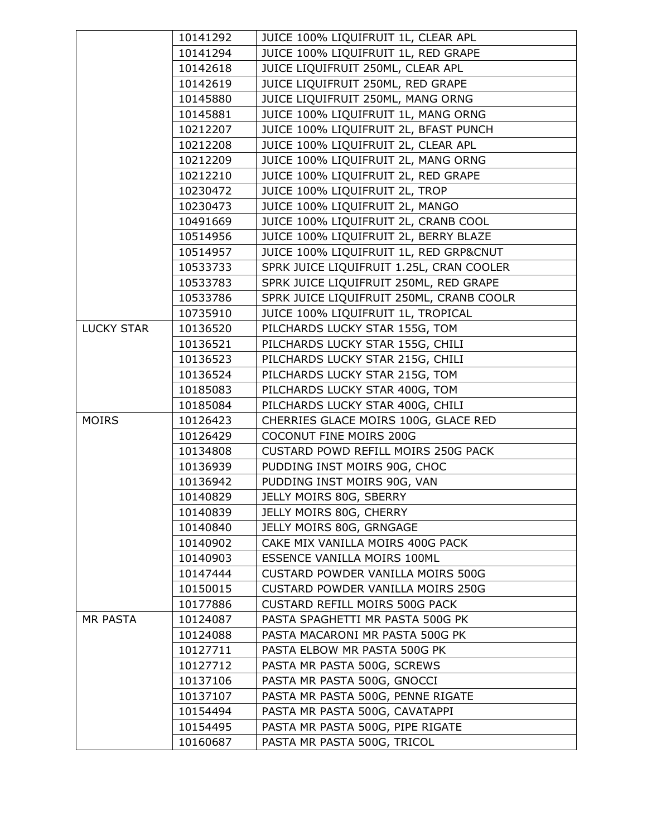|                   | 10141292 | JUICE 100% LIQUIFRUIT 1L, CLEAR APL      |
|-------------------|----------|------------------------------------------|
|                   | 10141294 | JUICE 100% LIQUIFRUIT 1L, RED GRAPE      |
|                   | 10142618 | JUICE LIQUIFRUIT 250ML, CLEAR APL        |
|                   | 10142619 | JUICE LIQUIFRUIT 250ML, RED GRAPE        |
|                   | 10145880 | JUICE LIQUIFRUIT 250ML, MANG ORNG        |
|                   | 10145881 | JUICE 100% LIQUIFRUIT 1L, MANG ORNG      |
|                   | 10212207 | JUICE 100% LIQUIFRUIT 2L, BFAST PUNCH    |
|                   | 10212208 | JUICE 100% LIQUIFRUIT 2L, CLEAR APL      |
|                   | 10212209 | JUICE 100% LIQUIFRUIT 2L, MANG ORNG      |
|                   | 10212210 | JUICE 100% LIQUIFRUIT 2L, RED GRAPE      |
|                   | 10230472 | JUICE 100% LIQUIFRUIT 2L, TROP           |
|                   | 10230473 | JUICE 100% LIQUIFRUIT 2L, MANGO          |
|                   | 10491669 | JUICE 100% LIQUIFRUIT 2L, CRANB COOL     |
|                   | 10514956 | JUICE 100% LIQUIFRUIT 2L, BERRY BLAZE    |
|                   | 10514957 | JUICE 100% LIQUIFRUIT 1L, RED GRP&CNUT   |
|                   | 10533733 | SPRK JUICE LIQUIFRUIT 1.25L, CRAN COOLER |
|                   | 10533783 | SPRK JUICE LIQUIFRUIT 250ML, RED GRAPE   |
|                   | 10533786 | SPRK JUICE LIQUIFRUIT 250ML, CRANB COOLR |
|                   | 10735910 | JUICE 100% LIQUIFRUIT 1L, TROPICAL       |
| <b>LUCKY STAR</b> | 10136520 | PILCHARDS LUCKY STAR 155G, TOM           |
|                   | 10136521 | PILCHARDS LUCKY STAR 155G, CHILI         |
|                   | 10136523 | PILCHARDS LUCKY STAR 215G, CHILI         |
|                   | 10136524 | PILCHARDS LUCKY STAR 215G, TOM           |
|                   | 10185083 | PILCHARDS LUCKY STAR 400G, TOM           |
|                   | 10185084 | PILCHARDS LUCKY STAR 400G, CHILI         |
| <b>MOIRS</b>      | 10126423 | CHERRIES GLACE MOIRS 100G, GLACE RED     |
|                   | 10126429 | COCONUT FINE MOIRS 200G                  |
|                   | 10134808 | CUSTARD POWD REFILL MOIRS 250G PACK      |
|                   | 10136939 | PUDDING INST MOIRS 90G, CHOC             |
|                   | 10136942 | PUDDING INST MOIRS 90G, VAN              |
|                   | 10140829 | JELLY MOIRS 80G, SBERRY                  |
|                   | 10140839 | JELLY MOIRS 80G, CHERRY                  |
|                   | 10140840 | JELLY MOIRS 80G, GRNGAGE                 |
|                   | 10140902 | CAKE MIX VANILLA MOIRS 400G PACK         |
|                   | 10140903 | ESSENCE VANILLA MOIRS 100ML              |
|                   | 10147444 | CUSTARD POWDER VANILLA MOIRS 500G        |
|                   | 10150015 | CUSTARD POWDER VANILLA MOIRS 250G        |
|                   | 10177886 | CUSTARD REFILL MOIRS 500G PACK           |
| <b>MR PASTA</b>   | 10124087 | PASTA SPAGHETTI MR PASTA 500G PK         |
|                   | 10124088 | PASTA MACARONI MR PASTA 500G PK          |
|                   | 10127711 | PASTA ELBOW MR PASTA 500G PK             |
|                   | 10127712 | PASTA MR PASTA 500G, SCREWS              |
|                   | 10137106 | PASTA MR PASTA 500G, GNOCCI              |
|                   | 10137107 | PASTA MR PASTA 500G, PENNE RIGATE        |
|                   | 10154494 | PASTA MR PASTA 500G, CAVATAPPI           |
|                   | 10154495 | PASTA MR PASTA 500G, PIPE RIGATE         |
|                   | 10160687 | PASTA MR PASTA 500G, TRICOL              |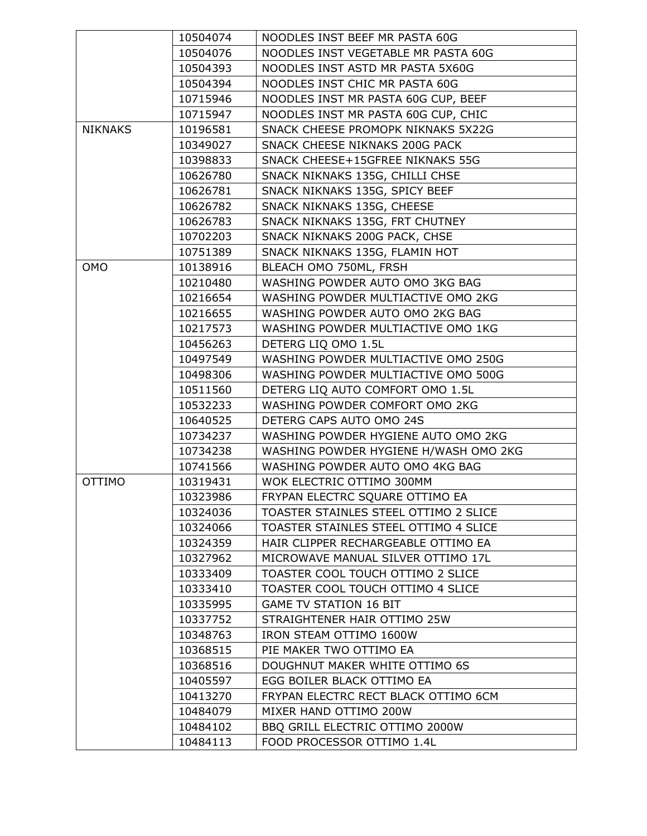|                | 10504074 | NOODLES INST BEEF MR PASTA 60G        |
|----------------|----------|---------------------------------------|
|                | 10504076 | NOODLES INST VEGETABLE MR PASTA 60G   |
|                | 10504393 | NOODLES INST ASTD MR PASTA 5X60G      |
|                | 10504394 | NOODLES INST CHIC MR PASTA 60G        |
|                | 10715946 | NOODLES INST MR PASTA 60G CUP, BEEF   |
|                | 10715947 | NOODLES INST MR PASTA 60G CUP, CHIC   |
| <b>NIKNAKS</b> | 10196581 | SNACK CHEESE PROMOPK NIKNAKS 5X22G    |
|                | 10349027 | SNACK CHEESE NIKNAKS 200G PACK        |
|                | 10398833 | SNACK CHEESE+15GFREE NIKNAKS 55G      |
|                | 10626780 | SNACK NIKNAKS 135G, CHILLI CHSE       |
|                | 10626781 | SNACK NIKNAKS 135G, SPICY BEEF        |
|                | 10626782 | SNACK NIKNAKS 135G, CHEESE            |
|                | 10626783 | SNACK NIKNAKS 135G, FRT CHUTNEY       |
|                | 10702203 | SNACK NIKNAKS 200G PACK, CHSE         |
|                | 10751389 | SNACK NIKNAKS 135G, FLAMIN HOT        |
| <b>OMO</b>     | 10138916 | BLEACH OMO 750ML, FRSH                |
|                | 10210480 | WASHING POWDER AUTO OMO 3KG BAG       |
|                | 10216654 | WASHING POWDER MULTIACTIVE OMO 2KG    |
|                | 10216655 | WASHING POWDER AUTO OMO 2KG BAG       |
|                | 10217573 | WASHING POWDER MULTIACTIVE OMO 1KG    |
|                | 10456263 | DETERG LIQ OMO 1.5L                   |
|                | 10497549 | WASHING POWDER MULTIACTIVE OMO 250G   |
|                | 10498306 | WASHING POWDER MULTIACTIVE OMO 500G   |
|                | 10511560 | DETERG LIQ AUTO COMFORT OMO 1.5L      |
|                | 10532233 | WASHING POWDER COMFORT OMO 2KG        |
|                | 10640525 | DETERG CAPS AUTO OMO 24S              |
|                | 10734237 | WASHING POWDER HYGIENE AUTO OMO 2KG   |
|                | 10734238 | WASHING POWDER HYGIENE H/WASH OMO 2KG |
|                | 10741566 | WASHING POWDER AUTO OMO 4KG BAG       |
| <b>OTTIMO</b>  | 10319431 | WOK ELECTRIC OTTIMO 300MM             |
|                | 10323986 | FRYPAN ELECTRC SQUARE OTTIMO EA       |
|                | 10324036 | TOASTER STAINLES STEEL OTTIMO 2 SLICE |
|                | 10324066 | TOASTER STAINLES STEEL OTTIMO 4 SLICE |
|                | 10324359 | HAIR CLIPPER RECHARGEABLE OTTIMO EA   |
|                | 10327962 | MICROWAVE MANUAL SILVER OTTIMO 17L    |
|                | 10333409 | TOASTER COOL TOUCH OTTIMO 2 SLICE     |
|                | 10333410 | TOASTER COOL TOUCH OTTIMO 4 SLICE     |
|                | 10335995 | <b>GAME TV STATION 16 BIT</b>         |
|                | 10337752 | STRAIGHTENER HAIR OTTIMO 25W          |
|                | 10348763 | IRON STEAM OTTIMO 1600W               |
|                | 10368515 | PIE MAKER TWO OTTIMO EA               |
|                | 10368516 | DOUGHNUT MAKER WHITE OTTIMO 6S        |
|                | 10405597 | EGG BOILER BLACK OTTIMO EA            |
|                | 10413270 | FRYPAN ELECTRC RECT BLACK OTTIMO 6CM  |
|                | 10484079 | MIXER HAND OTTIMO 200W                |
|                | 10484102 | BBQ GRILL ELECTRIC OTTIMO 2000W       |
|                | 10484113 | FOOD PROCESSOR OTTIMO 1.4L            |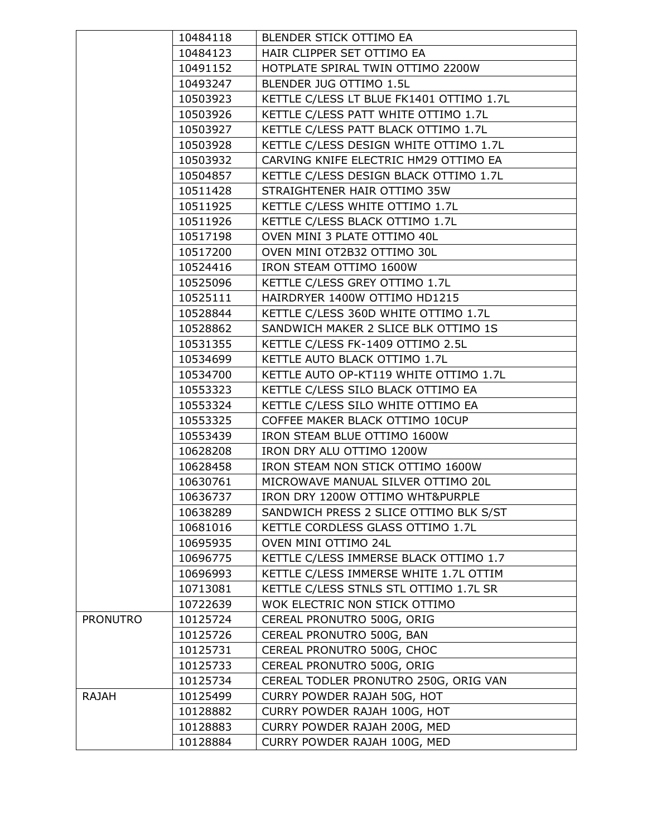|                 | 10484118 | BLENDER STICK OTTIMO EA                  |
|-----------------|----------|------------------------------------------|
|                 | 10484123 | HAIR CLIPPER SET OTTIMO EA               |
|                 | 10491152 | HOTPLATE SPIRAL TWIN OTTIMO 2200W        |
|                 | 10493247 | BLENDER JUG OTTIMO 1.5L                  |
|                 | 10503923 | KETTLE C/LESS LT BLUE FK1401 OTTIMO 1.7L |
|                 | 10503926 | KETTLE C/LESS PATT WHITE OTTIMO 1.7L     |
|                 | 10503927 | KETTLE C/LESS PATT BLACK OTTIMO 1.7L     |
|                 | 10503928 | KETTLE C/LESS DESIGN WHITE OTTIMO 1.7L   |
|                 | 10503932 | CARVING KNIFE ELECTRIC HM29 OTTIMO EA    |
|                 | 10504857 | KETTLE C/LESS DESIGN BLACK OTTIMO 1.7L   |
|                 | 10511428 | STRAIGHTENER HAIR OTTIMO 35W             |
|                 | 10511925 | KETTLE C/LESS WHITE OTTIMO 1.7L          |
|                 | 10511926 | KETTLE C/LESS BLACK OTTIMO 1.7L          |
|                 | 10517198 | OVEN MINI 3 PLATE OTTIMO 40L             |
|                 | 10517200 | OVEN MINI OT2B32 OTTIMO 30L              |
|                 | 10524416 | IRON STEAM OTTIMO 1600W                  |
|                 | 10525096 | KETTLE C/LESS GREY OTTIMO 1.7L           |
|                 | 10525111 | HAIRDRYER 1400W OTTIMO HD1215            |
|                 | 10528844 | KETTLE C/LESS 360D WHITE OTTIMO 1.7L     |
|                 | 10528862 | SANDWICH MAKER 2 SLICE BLK OTTIMO 1S     |
|                 | 10531355 | KETTLE C/LESS FK-1409 OTTIMO 2.5L        |
|                 | 10534699 | KETTLE AUTO BLACK OTTIMO 1.7L            |
|                 | 10534700 | KETTLE AUTO OP-KT119 WHITE OTTIMO 1.7L   |
|                 | 10553323 | KETTLE C/LESS SILO BLACK OTTIMO EA       |
|                 | 10553324 | KETTLE C/LESS SILO WHITE OTTIMO EA       |
|                 | 10553325 | COFFEE MAKER BLACK OTTIMO 10CUP          |
|                 | 10553439 | IRON STEAM BLUE OTTIMO 1600W             |
|                 | 10628208 | IRON DRY ALU OTTIMO 1200W                |
|                 | 10628458 | IRON STEAM NON STICK OTTIMO 1600W        |
|                 | 10630761 | MICROWAVE MANUAL SILVER OTTIMO 20L       |
|                 | 10636737 | IRON DRY 1200W OTTIMO WHT&PURPLE         |
|                 | 10638289 | SANDWICH PRESS 2 SLICE OTTIMO BLK S/ST   |
|                 | 10681016 | KETTLE CORDLESS GLASS OTTIMO 1.7L        |
|                 | 10695935 | OVEN MINI OTTIMO 24L                     |
|                 | 10696775 | KETTLE C/LESS IMMERSE BLACK OTTIMO 1.7   |
|                 | 10696993 | KETTLE C/LESS IMMERSE WHITE 1.7L OTTIM   |
|                 | 10713081 | KETTLE C/LESS STNLS STL OTTIMO 1.7L SR   |
|                 | 10722639 | WOK ELECTRIC NON STICK OTTIMO            |
| <b>PRONUTRO</b> | 10125724 | CEREAL PRONUTRO 500G, ORIG               |
|                 | 10125726 | CEREAL PRONUTRO 500G, BAN                |
|                 | 10125731 | CEREAL PRONUTRO 500G, CHOC               |
|                 | 10125733 | CEREAL PRONUTRO 500G, ORIG               |
|                 | 10125734 | CEREAL TODLER PRONUTRO 250G, ORIG VAN    |
| <b>RAJAH</b>    | 10125499 | CURRY POWDER RAJAH 50G, HOT              |
|                 | 10128882 | CURRY POWDER RAJAH 100G, HOT             |
|                 | 10128883 | CURRY POWDER RAJAH 200G, MED             |
|                 | 10128884 | CURRY POWDER RAJAH 100G, MED             |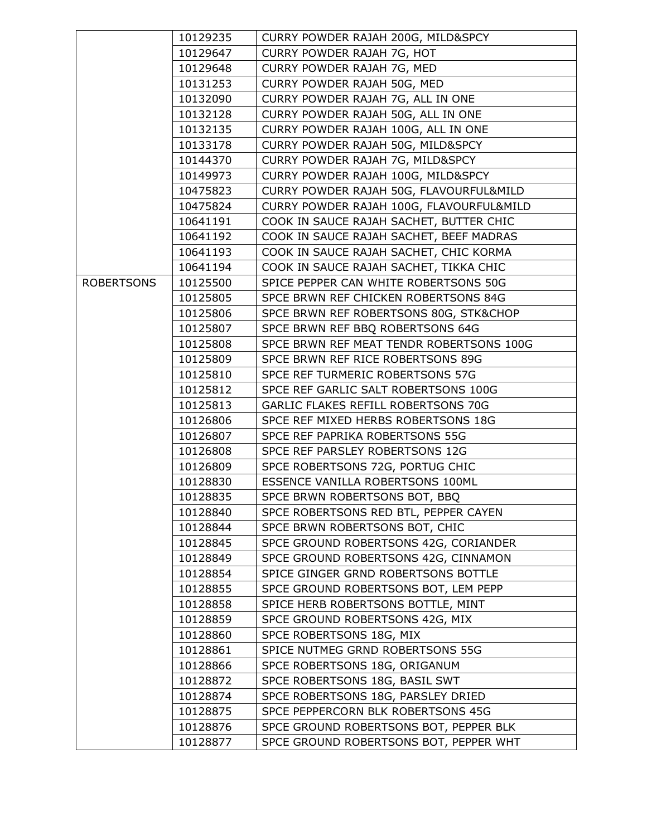|                   | 10129235             | CURRY POWDER RAJAH 200G, MILD&SPCY                                         |
|-------------------|----------------------|----------------------------------------------------------------------------|
|                   | 10129647             | CURRY POWDER RAJAH 7G, HOT                                                 |
|                   | 10129648             | CURRY POWDER RAJAH 7G, MED                                                 |
|                   | 10131253             | CURRY POWDER RAJAH 50G, MED                                                |
|                   | 10132090             | CURRY POWDER RAJAH 7G, ALL IN ONE                                          |
|                   | 10132128             | CURRY POWDER RAJAH 50G, ALL IN ONE                                         |
|                   | 10132135             | CURRY POWDER RAJAH 100G, ALL IN ONE                                        |
|                   | 10133178             | CURRY POWDER RAJAH 50G, MILD&SPCY                                          |
|                   | 10144370             | CURRY POWDER RAJAH 7G, MILD&SPCY                                           |
|                   | 10149973             | CURRY POWDER RAJAH 100G, MILD&SPCY                                         |
|                   | 10475823             | CURRY POWDER RAJAH 50G, FLAVOURFUL&MILD                                    |
|                   | 10475824             | CURRY POWDER RAJAH 100G, FLAVOURFUL&MILD                                   |
|                   | 10641191             | COOK IN SAUCE RAJAH SACHET, BUTTER CHIC                                    |
|                   | 10641192             | COOK IN SAUCE RAJAH SACHET, BEEF MADRAS                                    |
|                   | 10641193             | COOK IN SAUCE RAJAH SACHET, CHIC KORMA                                     |
|                   | 10641194             | COOK IN SAUCE RAJAH SACHET, TIKKA CHIC                                     |
| <b>ROBERTSONS</b> | 10125500             | SPICE PEPPER CAN WHITE ROBERTSONS 50G                                      |
|                   | 10125805             | SPCE BRWN REF CHICKEN ROBERTSONS 84G                                       |
|                   | 10125806             | SPCE BRWN REF ROBERTSONS 80G, STK&CHOP                                     |
|                   | 10125807             | SPCE BRWN REF BBQ ROBERTSONS 64G                                           |
|                   | 10125808             | SPCE BRWN REF MEAT TENDR ROBERTSONS 100G                                   |
|                   | 10125809             | SPCE BRWN REF RICE ROBERTSONS 89G                                          |
|                   | 10125810             | SPCE REF TURMERIC ROBERTSONS 57G                                           |
|                   | 10125812             | SPCE REF GARLIC SALT ROBERTSONS 100G                                       |
|                   | 10125813             | GARLIC FLAKES REFILL ROBERTSONS 70G                                        |
|                   | 10126806             | SPCE REF MIXED HERBS ROBERTSONS 18G                                        |
|                   | 10126807             | SPCE REF PAPRIKA ROBERTSONS 55G                                            |
|                   | 10126808             | SPCE REF PARSLEY ROBERTSONS 12G                                            |
|                   | 10126809             | SPCE ROBERTSONS 72G, PORTUG CHIC                                           |
|                   | 10128830             | ESSENCE VANILLA ROBERTSONS 100ML                                           |
|                   | 10128835             | SPCE BRWN ROBERTSONS BOT, BBQ                                              |
|                   | 10128840             | SPCE ROBERTSONS RED BTL, PEPPER CAYEN                                      |
|                   | 10128844             | SPCE BRWN ROBERTSONS BOT, CHIC                                             |
|                   | 10128845             | SPCE GROUND ROBERTSONS 42G, CORIANDER                                      |
|                   | 10128849             | SPCE GROUND ROBERTSONS 42G, CINNAMON                                       |
|                   | 10128854             | SPICE GINGER GRND ROBERTSONS BOTTLE                                        |
|                   | 10128855<br>10128858 | SPCE GROUND ROBERTSONS BOT, LEM PEPP<br>SPICE HERB ROBERTSONS BOTTLE, MINT |
|                   | 10128859             | SPCE GROUND ROBERTSONS 42G, MIX                                            |
|                   | 10128860             | SPCE ROBERTSONS 18G, MIX                                                   |
|                   | 10128861             | SPICE NUTMEG GRND ROBERTSONS 55G                                           |
|                   | 10128866             | SPCE ROBERTSONS 18G, ORIGANUM                                              |
|                   | 10128872             | SPCE ROBERTSONS 18G, BASIL SWT                                             |
|                   | 10128874             | SPCE ROBERTSONS 18G, PARSLEY DRIED                                         |
|                   | 10128875             | SPCE PEPPERCORN BLK ROBERTSONS 45G                                         |
|                   | 10128876             | SPCE GROUND ROBERTSONS BOT, PEPPER BLK                                     |
|                   | 10128877             | SPCE GROUND ROBERTSONS BOT, PEPPER WHT                                     |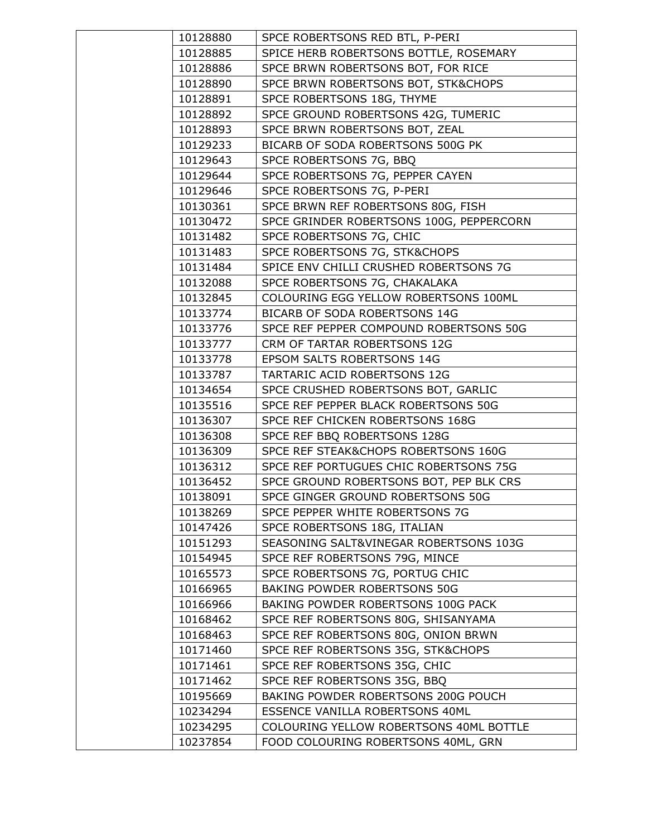| 10128880             | SPCE ROBERTSONS RED BTL, P-PERI                                 |
|----------------------|-----------------------------------------------------------------|
| 10128885             | SPICE HERB ROBERTSONS BOTTLE, ROSEMARY                          |
| 10128886             | SPCE BRWN ROBERTSONS BOT, FOR RICE                              |
| 10128890             | SPCE BRWN ROBERTSONS BOT, STK&CHOPS                             |
| 10128891             | SPCE ROBERTSONS 18G, THYME                                      |
| 10128892             | SPCE GROUND ROBERTSONS 42G, TUMERIC                             |
| 10128893             | SPCE BRWN ROBERTSONS BOT, ZEAL                                  |
| 10129233             | BICARB OF SODA ROBERTSONS 500G PK                               |
| 10129643             | SPCE ROBERTSONS 7G, BBQ                                         |
| 10129644             | SPCE ROBERTSONS 7G, PEPPER CAYEN                                |
| 10129646             | SPCE ROBERTSONS 7G, P-PERI                                      |
| 10130361             | SPCE BRWN REF ROBERTSONS 80G, FISH                              |
| 10130472             | SPCE GRINDER ROBERTSONS 100G, PEPPERCORN                        |
| 10131482             | SPCE ROBERTSONS 7G, CHIC                                        |
| 10131483             | SPCE ROBERTSONS 7G, STK&CHOPS                                   |
| 10131484             | SPICE ENV CHILLI CRUSHED ROBERTSONS 7G                          |
| 10132088             | SPCE ROBERTSONS 7G, CHAKALAKA                                   |
| 10132845             | COLOURING EGG YELLOW ROBERTSONS 100ML                           |
| 10133774             | BICARB OF SODA ROBERTSONS 14G                                   |
| 10133776             | SPCE REF PEPPER COMPOUND ROBERTSONS 50G                         |
| 10133777             | CRM OF TARTAR ROBERTSONS 12G                                    |
| 10133778             | EPSOM SALTS ROBERTSONS 14G                                      |
| 10133787             | TARTARIC ACID ROBERTSONS 12G                                    |
| 10134654             | SPCE CRUSHED ROBERTSONS BOT, GARLIC                             |
| 10135516             | SPCE REF PEPPER BLACK ROBERTSONS 50G                            |
| 10136307             | SPCE REF CHICKEN ROBERTSONS 168G                                |
| 10136308             | SPCE REF BBQ ROBERTSONS 128G                                    |
| 10136309             | SPCE REF STEAK&CHOPS ROBERTSONS 160G                            |
| 10136312             | SPCE REF PORTUGUES CHIC ROBERTSONS 75G                          |
| 10136452             | SPCE GROUND ROBERTSONS BOT, PEP BLK CRS                         |
| 10138091             | SPCE GINGER GROUND ROBERTSONS 50G                               |
| 10138269             | SPCE PEPPER WHITE ROBERTSONS 7G                                 |
| 10147426             | SPCE ROBERTSONS 18G, ITALIAN                                    |
| 10151293             | SEASONING SALT&VINEGAR ROBERTSONS 103G                          |
| 10154945             | SPCE REF ROBERTSONS 79G, MINCE                                  |
| 10165573<br>10166965 | SPCE ROBERTSONS 7G, PORTUG CHIC<br>BAKING POWDER ROBERTSONS 50G |
| 10166966             | BAKING POWDER ROBERTSONS 100G PACK                              |
| 10168462             | SPCE REF ROBERTSONS 80G, SHISANYAMA                             |
| 10168463             | SPCE REF ROBERTSONS 80G, ONION BRWN                             |
| 10171460             | SPCE REF ROBERTSONS 35G, STK&CHOPS                              |
| 10171461             | SPCE REF ROBERTSONS 35G, CHIC                                   |
| 10171462             | SPCE REF ROBERTSONS 35G, BBQ                                    |
| 10195669             | BAKING POWDER ROBERTSONS 200G POUCH                             |
| 10234294             | ESSENCE VANILLA ROBERTSONS 40ML                                 |
| 10234295             | COLOURING YELLOW ROBERTSONS 40ML BOTTLE                         |
| 10237854             | FOOD COLOURING ROBERTSONS 40ML, GRN                             |
|                      |                                                                 |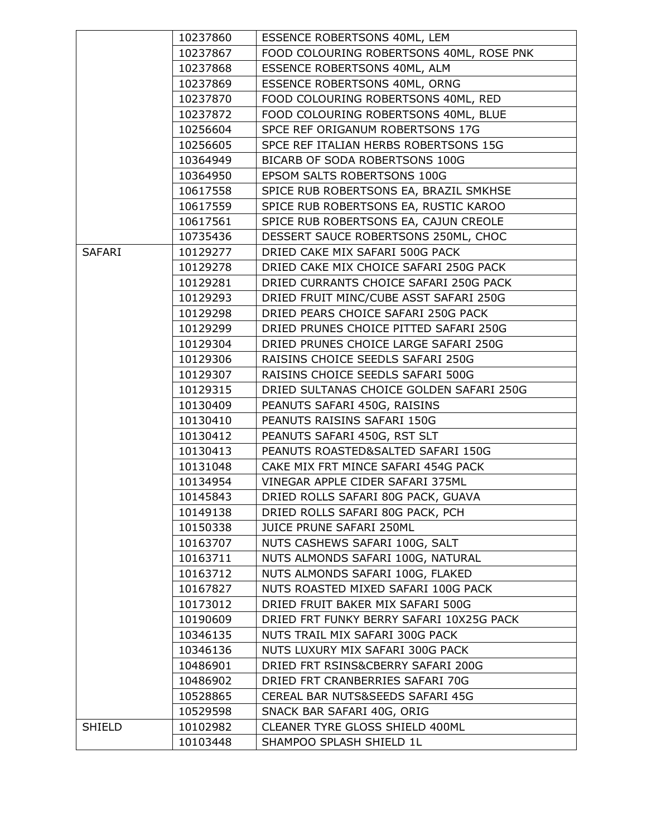|               | 10237860             | ESSENCE ROBERTSONS 40ML, LEM                                                  |
|---------------|----------------------|-------------------------------------------------------------------------------|
|               | 10237867             | FOOD COLOURING ROBERTSONS 40ML, ROSE PNK                                      |
|               | 10237868             | ESSENCE ROBERTSONS 40ML, ALM                                                  |
|               | 10237869             | ESSENCE ROBERTSONS 40ML, ORNG                                                 |
|               | 10237870             | FOOD COLOURING ROBERTSONS 40ML, RED                                           |
|               | 10237872             | FOOD COLOURING ROBERTSONS 40ML, BLUE                                          |
|               | 10256604             | SPCE REF ORIGANUM ROBERTSONS 17G                                              |
|               | 10256605             | SPCE REF ITALIAN HERBS ROBERTSONS 15G                                         |
|               | 10364949             | BICARB OF SODA ROBERTSONS 100G                                                |
|               | 10364950             | EPSOM SALTS ROBERTSONS 100G                                                   |
|               | 10617558             | SPICE RUB ROBERTSONS EA, BRAZIL SMKHSE                                        |
|               | 10617559             | SPICE RUB ROBERTSONS EA, RUSTIC KAROO                                         |
|               | 10617561             | SPICE RUB ROBERTSONS EA, CAJUN CREOLE                                         |
|               | 10735436             | DESSERT SAUCE ROBERTSONS 250ML, CHOC                                          |
| <b>SAFARI</b> | 10129277             | DRIED CAKE MIX SAFARI 500G PACK                                               |
|               | 10129278             | DRIED CAKE MIX CHOICE SAFARI 250G PACK                                        |
|               | 10129281             | DRIED CURRANTS CHOICE SAFARI 250G PACK                                        |
|               | 10129293             | DRIED FRUIT MINC/CUBE ASST SAFARI 250G                                        |
|               | 10129298             | DRIED PEARS CHOICE SAFARI 250G PACK                                           |
|               | 10129299             | DRIED PRUNES CHOICE PITTED SAFARI 250G                                        |
|               | 10129304             | DRIED PRUNES CHOICE LARGE SAFARI 250G                                         |
|               | 10129306             | RAISINS CHOICE SEEDLS SAFARI 250G                                             |
|               | 10129307             | RAISINS CHOICE SEEDLS SAFARI 500G                                             |
|               | 10129315             | DRIED SULTANAS CHOICE GOLDEN SAFARI 250G                                      |
|               | 10130409             | PEANUTS SAFARI 450G, RAISINS                                                  |
|               | 10130410             | PEANUTS RAISINS SAFARI 150G                                                   |
|               | 10130412             | PEANUTS SAFARI 450G, RST SLT                                                  |
|               | 10130413             | PEANUTS ROASTED&SALTED SAFARI 150G                                            |
|               | 10131048             | CAKE MIX FRT MINCE SAFARI 454G PACK                                           |
|               | 10134954             | VINEGAR APPLE CIDER SAFARI 375ML                                              |
|               | 10145843             | DRIED ROLLS SAFARI 80G PACK, GUAVA                                            |
|               | 10149138             | DRIED ROLLS SAFARI 80G PACK, PCH                                              |
|               | 10150338             | JUICE PRUNE SAFARI 250ML                                                      |
|               | 10163707             | NUTS CASHEWS SAFARI 100G, SALT                                                |
|               | 10163711             | NUTS ALMONDS SAFARI 100G, NATURAL                                             |
|               | 10163712             | NUTS ALMONDS SAFARI 100G, FLAKED<br>NUTS ROASTED MIXED SAFARI 100G PACK       |
|               | 10167827             |                                                                               |
|               | 10173012<br>10190609 | DRIED FRUIT BAKER MIX SAFARI 500G<br>DRIED FRT FUNKY BERRY SAFARI 10X25G PACK |
|               | 10346135             | NUTS TRAIL MIX SAFARI 300G PACK                                               |
|               | 10346136             | NUTS LUXURY MIX SAFARI 300G PACK                                              |
|               | 10486901             | DRIED FRT RSINS&CBERRY SAFARI 200G                                            |
|               | 10486902             | DRIED FRT CRANBERRIES SAFARI 70G                                              |
|               | 10528865             | CEREAL BAR NUTS&SEEDS SAFARI 45G                                              |
|               | 10529598             | SNACK BAR SAFARI 40G, ORIG                                                    |
| <b>SHIELD</b> | 10102982             | CLEANER TYRE GLOSS SHIELD 400ML                                               |
|               | 10103448             | SHAMPOO SPLASH SHIELD 1L                                                      |
|               |                      |                                                                               |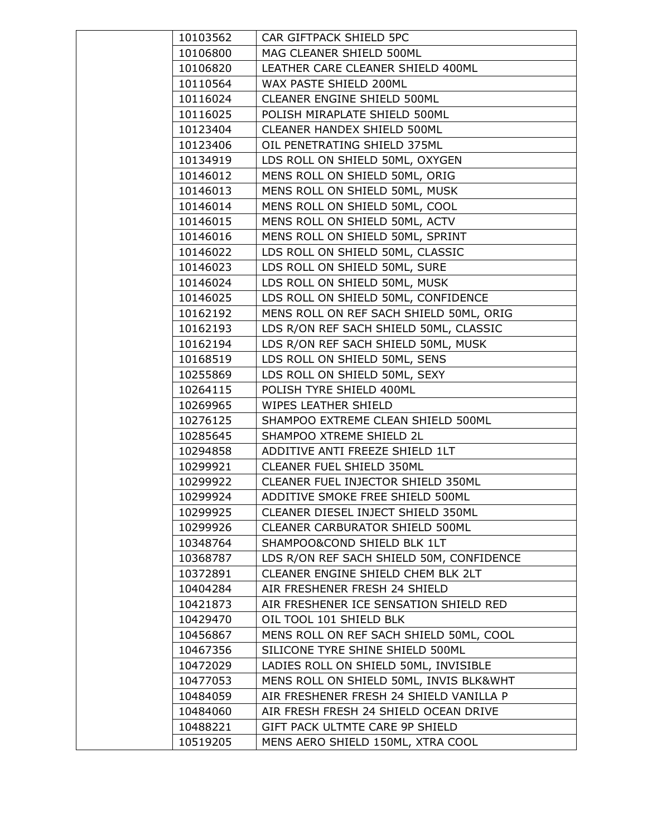| 10103562 | CAR GIFTPACK SHIELD 5PC                  |
|----------|------------------------------------------|
| 10106800 | MAG CLEANER SHIELD 500ML                 |
| 10106820 | LEATHER CARE CLEANER SHIELD 400ML        |
| 10110564 | WAX PASTE SHIELD 200ML                   |
| 10116024 | CLEANER ENGINE SHIELD 500ML              |
| 10116025 | POLISH MIRAPLATE SHIELD 500ML            |
| 10123404 | CLEANER HANDEX SHIELD 500ML              |
| 10123406 | OIL PENETRATING SHIELD 375ML             |
| 10134919 | LDS ROLL ON SHIELD 50ML, OXYGEN          |
| 10146012 | MENS ROLL ON SHIELD 50ML, ORIG           |
| 10146013 | MENS ROLL ON SHIELD 50ML, MUSK           |
| 10146014 | MENS ROLL ON SHIELD 50ML, COOL           |
| 10146015 | MENS ROLL ON SHIELD 50ML, ACTV           |
| 10146016 | MENS ROLL ON SHIELD 50ML, SPRINT         |
| 10146022 | LDS ROLL ON SHIELD 50ML, CLASSIC         |
| 10146023 | LDS ROLL ON SHIELD 50ML, SURE            |
| 10146024 | LDS ROLL ON SHIELD 50ML, MUSK            |
| 10146025 | LDS ROLL ON SHIELD 50ML, CONFIDENCE      |
| 10162192 | MENS ROLL ON REF SACH SHIELD 50ML, ORIG  |
| 10162193 | LDS R/ON REF SACH SHIELD 50ML, CLASSIC   |
| 10162194 | LDS R/ON REF SACH SHIELD 50ML, MUSK      |
| 10168519 | LDS ROLL ON SHIELD 50ML, SENS            |
| 10255869 | LDS ROLL ON SHIELD 50ML, SEXY            |
| 10264115 | POLISH TYRE SHIELD 400ML                 |
| 10269965 | WIPES LEATHER SHIELD                     |
| 10276125 | SHAMPOO EXTREME CLEAN SHIELD 500ML       |
| 10285645 | SHAMPOO XTREME SHIELD 2L                 |
| 10294858 | ADDITIVE ANTI FREEZE SHIELD 1LT          |
| 10299921 | CLEANER FUEL SHIELD 350ML                |
| 10299922 | CLEANER FUEL INJECTOR SHIELD 350ML       |
| 10299924 | ADDITIVE SMOKE FREE SHIELD 500ML         |
| 10299925 | CLEANER DIESEL INJECT SHIELD 350ML       |
| 10299926 | CLEANER CARBURATOR SHIELD 500ML          |
| 10348764 | SHAMPOO&COND SHIELD BLK 1LT              |
| 10368787 | LDS R/ON REF SACH SHIELD 50M, CONFIDENCE |
| 10372891 | CLEANER ENGINE SHIELD CHEM BLK 2LT       |
| 10404284 | AIR FRESHENER FRESH 24 SHIELD            |
| 10421873 | AIR FRESHENER ICE SENSATION SHIELD RED   |
| 10429470 | OIL TOOL 101 SHIELD BLK                  |
| 10456867 | MENS ROLL ON REF SACH SHIELD 50ML, COOL  |
| 10467356 | SILICONE TYRE SHINE SHIELD 500ML         |
| 10472029 | LADIES ROLL ON SHIELD 50ML, INVISIBLE    |
| 10477053 | MENS ROLL ON SHIELD 50ML, INVIS BLK&WHT  |
| 10484059 | AIR FRESHENER FRESH 24 SHIELD VANILLA P  |
| 10484060 | AIR FRESH FRESH 24 SHIELD OCEAN DRIVE    |
| 10488221 | GIFT PACK ULTMTE CARE 9P SHIELD          |
| 10519205 | MENS AERO SHIELD 150ML, XTRA COOL        |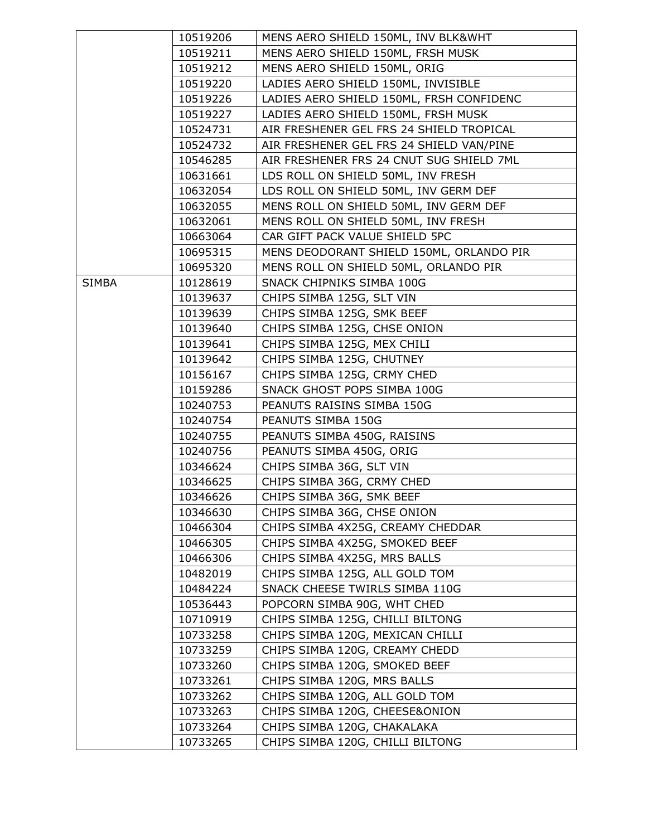|              | 10519206 | MENS AERO SHIELD 150ML, INV BLK&WHT      |
|--------------|----------|------------------------------------------|
|              | 10519211 | MENS AERO SHIELD 150ML, FRSH MUSK        |
|              | 10519212 | MENS AERO SHIELD 150ML, ORIG             |
|              | 10519220 | LADIES AERO SHIELD 150ML, INVISIBLE      |
|              | 10519226 | LADIES AERO SHIELD 150ML, FRSH CONFIDENC |
|              | 10519227 | LADIES AERO SHIELD 150ML, FRSH MUSK      |
|              | 10524731 | AIR FRESHENER GEL FRS 24 SHIELD TROPICAL |
|              | 10524732 | AIR FRESHENER GEL FRS 24 SHIELD VAN/PINE |
|              | 10546285 | AIR FRESHENER FRS 24 CNUT SUG SHIELD 7ML |
|              | 10631661 | LDS ROLL ON SHIELD 50ML, INV FRESH       |
|              | 10632054 | LDS ROLL ON SHIELD 50ML, INV GERM DEF    |
|              | 10632055 | MENS ROLL ON SHIELD 50ML, INV GERM DEF   |
|              | 10632061 | MENS ROLL ON SHIELD 50ML, INV FRESH      |
|              | 10663064 | CAR GIFT PACK VALUE SHIELD 5PC           |
|              | 10695315 | MENS DEODORANT SHIELD 150ML, ORLANDO PIR |
|              | 10695320 | MENS ROLL ON SHIELD 50ML, ORLANDO PIR    |
| <b>SIMBA</b> | 10128619 | SNACK CHIPNIKS SIMBA 100G                |
|              | 10139637 | CHIPS SIMBA 125G, SLT VIN                |
|              | 10139639 | CHIPS SIMBA 125G, SMK BEEF               |
|              | 10139640 | CHIPS SIMBA 125G, CHSE ONION             |
|              | 10139641 | CHIPS SIMBA 125G, MEX CHILI              |
|              | 10139642 | CHIPS SIMBA 125G, CHUTNEY                |
|              | 10156167 | CHIPS SIMBA 125G, CRMY CHED              |
|              | 10159286 | SNACK GHOST POPS SIMBA 100G              |
|              | 10240753 | PEANUTS RAISINS SIMBA 150G               |
|              | 10240754 | PEANUTS SIMBA 150G                       |
|              | 10240755 | PEANUTS SIMBA 450G, RAISINS              |
|              | 10240756 | PEANUTS SIMBA 450G, ORIG                 |
|              | 10346624 | CHIPS SIMBA 36G, SLT VIN                 |
|              | 10346625 | CHIPS SIMBA 36G, CRMY CHED               |
|              | 10346626 | CHIPS SIMBA 36G, SMK BEEF                |
|              | 10346630 | CHIPS SIMBA 36G, CHSE ONION              |
|              | 10466304 | CHIPS SIMBA 4X25G, CREAMY CHEDDAR        |
|              | 10466305 | CHIPS SIMBA 4X25G, SMOKED BEEF           |
|              | 10466306 | CHIPS SIMBA 4X25G, MRS BALLS             |
|              | 10482019 | CHIPS SIMBA 125G, ALL GOLD TOM           |
|              | 10484224 | SNACK CHEESE TWIRLS SIMBA 110G           |
|              | 10536443 | POPCORN SIMBA 90G, WHT CHED              |
|              | 10710919 | CHIPS SIMBA 125G, CHILLI BILTONG         |
|              | 10733258 | CHIPS SIMBA 120G, MEXICAN CHILLI         |
|              | 10733259 | CHIPS SIMBA 120G, CREAMY CHEDD           |
|              | 10733260 | CHIPS SIMBA 120G, SMOKED BEEF            |
|              | 10733261 | CHIPS SIMBA 120G, MRS BALLS              |
|              | 10733262 | CHIPS SIMBA 120G, ALL GOLD TOM           |
|              | 10733263 | CHIPS SIMBA 120G, CHEESE&ONION           |
|              | 10733264 | CHIPS SIMBA 120G, CHAKALAKA              |
|              | 10733265 | CHIPS SIMBA 120G, CHILLI BILTONG         |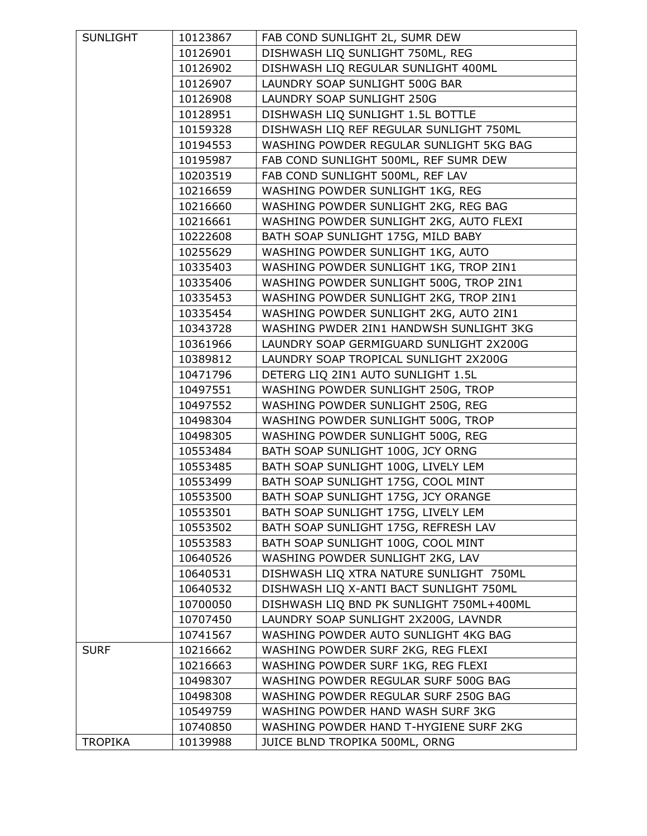| SUNLIGHT       | 10123867 | FAB COND SUNLIGHT 2L, SUMR DEW           |
|----------------|----------|------------------------------------------|
|                | 10126901 | DISHWASH LIQ SUNLIGHT 750ML, REG         |
|                | 10126902 | DISHWASH LIQ REGULAR SUNLIGHT 400ML      |
|                | 10126907 | LAUNDRY SOAP SUNLIGHT 500G BAR           |
|                | 10126908 | LAUNDRY SOAP SUNLIGHT 250G               |
|                | 10128951 | DISHWASH LIQ SUNLIGHT 1.5L BOTTLE        |
|                | 10159328 | DISHWASH LIQ REF REGULAR SUNLIGHT 750ML  |
|                | 10194553 | WASHING POWDER REGULAR SUNLIGHT 5KG BAG  |
|                | 10195987 | FAB COND SUNLIGHT 500ML, REF SUMR DEW    |
|                | 10203519 | FAB COND SUNLIGHT 500ML, REF LAV         |
|                | 10216659 | WASHING POWDER SUNLIGHT 1KG, REG         |
|                | 10216660 | WASHING POWDER SUNLIGHT 2KG, REG BAG     |
|                | 10216661 | WASHING POWDER SUNLIGHT 2KG, AUTO FLEXI  |
|                | 10222608 | BATH SOAP SUNLIGHT 175G, MILD BABY       |
|                | 10255629 | WASHING POWDER SUNLIGHT 1KG, AUTO        |
|                | 10335403 | WASHING POWDER SUNLIGHT 1KG, TROP 2IN1   |
|                | 10335406 | WASHING POWDER SUNLIGHT 500G, TROP 2IN1  |
|                | 10335453 | WASHING POWDER SUNLIGHT 2KG, TROP 2IN1   |
|                | 10335454 | WASHING POWDER SUNLIGHT 2KG, AUTO 2IN1   |
|                | 10343728 | WASHING PWDER 2IN1 HANDWSH SUNLIGHT 3KG  |
|                | 10361966 | LAUNDRY SOAP GERMIGUARD SUNLIGHT 2X200G  |
|                | 10389812 | LAUNDRY SOAP TROPICAL SUNLIGHT 2X200G    |
|                | 10471796 | DETERG LIQ 2IN1 AUTO SUNLIGHT 1.5L       |
|                | 10497551 | WASHING POWDER SUNLIGHT 250G, TROP       |
|                | 10497552 | WASHING POWDER SUNLIGHT 250G, REG        |
|                | 10498304 | WASHING POWDER SUNLIGHT 500G, TROP       |
|                | 10498305 | WASHING POWDER SUNLIGHT 500G, REG        |
|                | 10553484 | BATH SOAP SUNLIGHT 100G, JCY ORNG        |
|                | 10553485 | BATH SOAP SUNLIGHT 100G, LIVELY LEM      |
|                | 10553499 | BATH SOAP SUNLIGHT 175G, COOL MINT       |
|                | 10553500 | BATH SOAP SUNLIGHT 175G, JCY ORANGE      |
|                | 10553501 | BATH SOAP SUNLIGHT 175G, LIVELY LEM      |
|                | 10553502 | BATH SOAP SUNLIGHT 175G, REFRESH LAV     |
|                | 10553583 | BATH SOAP SUNLIGHT 100G, COOL MINT       |
|                | 10640526 | WASHING POWDER SUNLIGHT 2KG, LAV         |
|                | 10640531 | DISHWASH LIQ XTRA NATURE SUNLIGHT 750ML  |
|                | 10640532 | DISHWASH LIQ X-ANTI BACT SUNLIGHT 750ML  |
|                | 10700050 | DISHWASH LIQ BND PK SUNLIGHT 750ML+400ML |
|                | 10707450 | LAUNDRY SOAP SUNLIGHT 2X200G, LAVNDR     |
|                | 10741567 | WASHING POWDER AUTO SUNLIGHT 4KG BAG     |
| <b>SURF</b>    | 10216662 | WASHING POWDER SURF 2KG, REG FLEXI       |
|                | 10216663 | WASHING POWDER SURF 1KG, REG FLEXI       |
|                | 10498307 | WASHING POWDER REGULAR SURF 500G BAG     |
|                | 10498308 | WASHING POWDER REGULAR SURF 250G BAG     |
|                | 10549759 | WASHING POWDER HAND WASH SURF 3KG        |
|                | 10740850 | WASHING POWDER HAND T-HYGIENE SURF 2KG   |
| <b>TROPIKA</b> | 10139988 | JUICE BLND TROPIKA 500ML, ORNG           |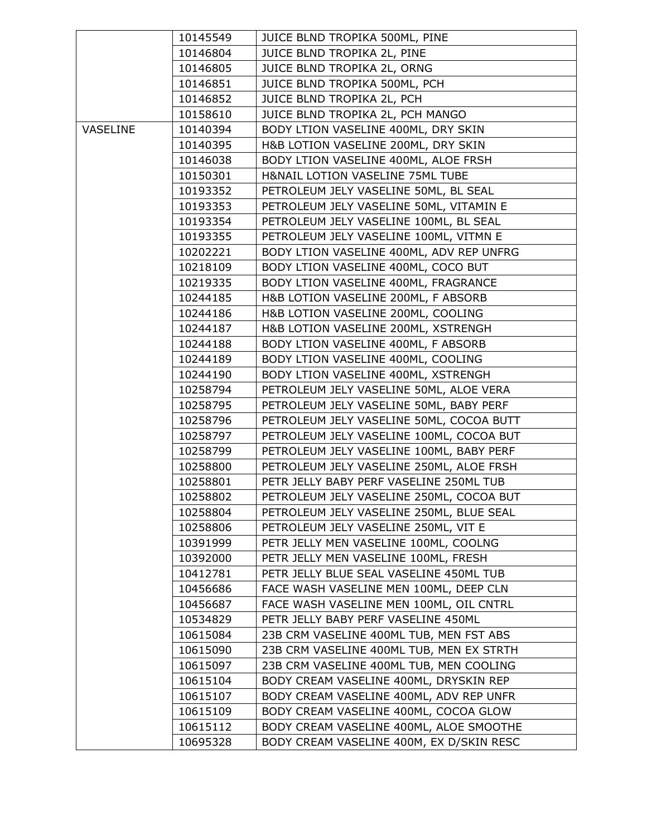|                 | 10145549 | JUICE BLND TROPIKA 500ML, PINE           |
|-----------------|----------|------------------------------------------|
|                 | 10146804 | JUICE BLND TROPIKA 2L, PINE              |
|                 | 10146805 | JUICE BLND TROPIKA 2L, ORNG              |
|                 | 10146851 | JUICE BLND TROPIKA 500ML, PCH            |
|                 | 10146852 | JUICE BLND TROPIKA 2L, PCH               |
|                 | 10158610 | JUICE BLND TROPIKA 2L, PCH MANGO         |
| <b>VASELINE</b> | 10140394 | BODY LTION VASELINE 400ML, DRY SKIN      |
|                 | 10140395 | H&B LOTION VASELINE 200ML, DRY SKIN      |
|                 | 10146038 | BODY LTION VASELINE 400ML, ALOE FRSH     |
|                 | 10150301 | H&NAIL LOTION VASELINE 75ML TUBE         |
|                 | 10193352 | PETROLEUM JELY VASELINE 50ML, BL SEAL    |
|                 | 10193353 | PETROLEUM JELY VASELINE 50ML, VITAMIN E  |
|                 | 10193354 | PETROLEUM JELY VASELINE 100ML, BL SEAL   |
|                 | 10193355 | PETROLEUM JELY VASELINE 100ML, VITMN E   |
|                 | 10202221 | BODY LTION VASELINE 400ML, ADV REP UNFRG |
|                 | 10218109 | BODY LTION VASELINE 400ML, COCO BUT      |
|                 | 10219335 | BODY LTION VASELINE 400ML, FRAGRANCE     |
|                 | 10244185 | H&B LOTION VASELINE 200ML, F ABSORB      |
|                 | 10244186 | H&B LOTION VASELINE 200ML, COOLING       |
|                 | 10244187 | H&B LOTION VASELINE 200ML, XSTRENGH      |
|                 | 10244188 | BODY LTION VASELINE 400ML, F ABSORB      |
|                 | 10244189 | BODY LTION VASELINE 400ML, COOLING       |
|                 | 10244190 | BODY LTION VASELINE 400ML, XSTRENGH      |
|                 | 10258794 | PETROLEUM JELY VASELINE 50ML, ALOE VERA  |
|                 | 10258795 | PETROLEUM JELY VASELINE 50ML, BABY PERF  |
|                 | 10258796 | PETROLEUM JELY VASELINE 50ML, COCOA BUTT |
|                 | 10258797 | PETROLEUM JELY VASELINE 100ML, COCOA BUT |
|                 | 10258799 | PETROLEUM JELY VASELINE 100ML, BABY PERF |
|                 | 10258800 | PETROLEUM JELY VASELINE 250ML, ALOE FRSH |
|                 | 10258801 | PETR JELLY BABY PERF VASELINE 250ML TUB  |
|                 | 10258802 | PETROLEUM JELY VASELINE 250ML, COCOA BUT |
|                 | 10258804 | PETROLEUM JELY VASELINE 250ML, BLUE SEAL |
|                 | 10258806 | PETROLEUM JELY VASELINE 250ML, VIT E     |
|                 | 10391999 | PETR JELLY MEN VASELINE 100ML, COOLNG    |
|                 | 10392000 | PETR JELLY MEN VASELINE 100ML, FRESH     |
|                 | 10412781 | PETR JELLY BLUE SEAL VASELINE 450ML TUB  |
|                 | 10456686 | FACE WASH VASELINE MEN 100ML, DEEP CLN   |
|                 | 10456687 | FACE WASH VASELINE MEN 100ML, OIL CNTRL  |
|                 | 10534829 | PETR JELLY BABY PERF VASELINE 450ML      |
|                 | 10615084 | 23B CRM VASELINE 400ML TUB, MEN FST ABS  |
|                 | 10615090 | 23B CRM VASELINE 400ML TUB, MEN EX STRTH |
|                 | 10615097 | 23B CRM VASELINE 400ML TUB, MEN COOLING  |
|                 | 10615104 | BODY CREAM VASELINE 400ML, DRYSKIN REP   |
|                 | 10615107 | BODY CREAM VASELINE 400ML, ADV REP UNFR  |
|                 | 10615109 | BODY CREAM VASELINE 400ML, COCOA GLOW    |
|                 | 10615112 | BODY CREAM VASELINE 400ML, ALOE SMOOTHE  |
|                 | 10695328 | BODY CREAM VASELINE 400M, EX D/SKIN RESC |